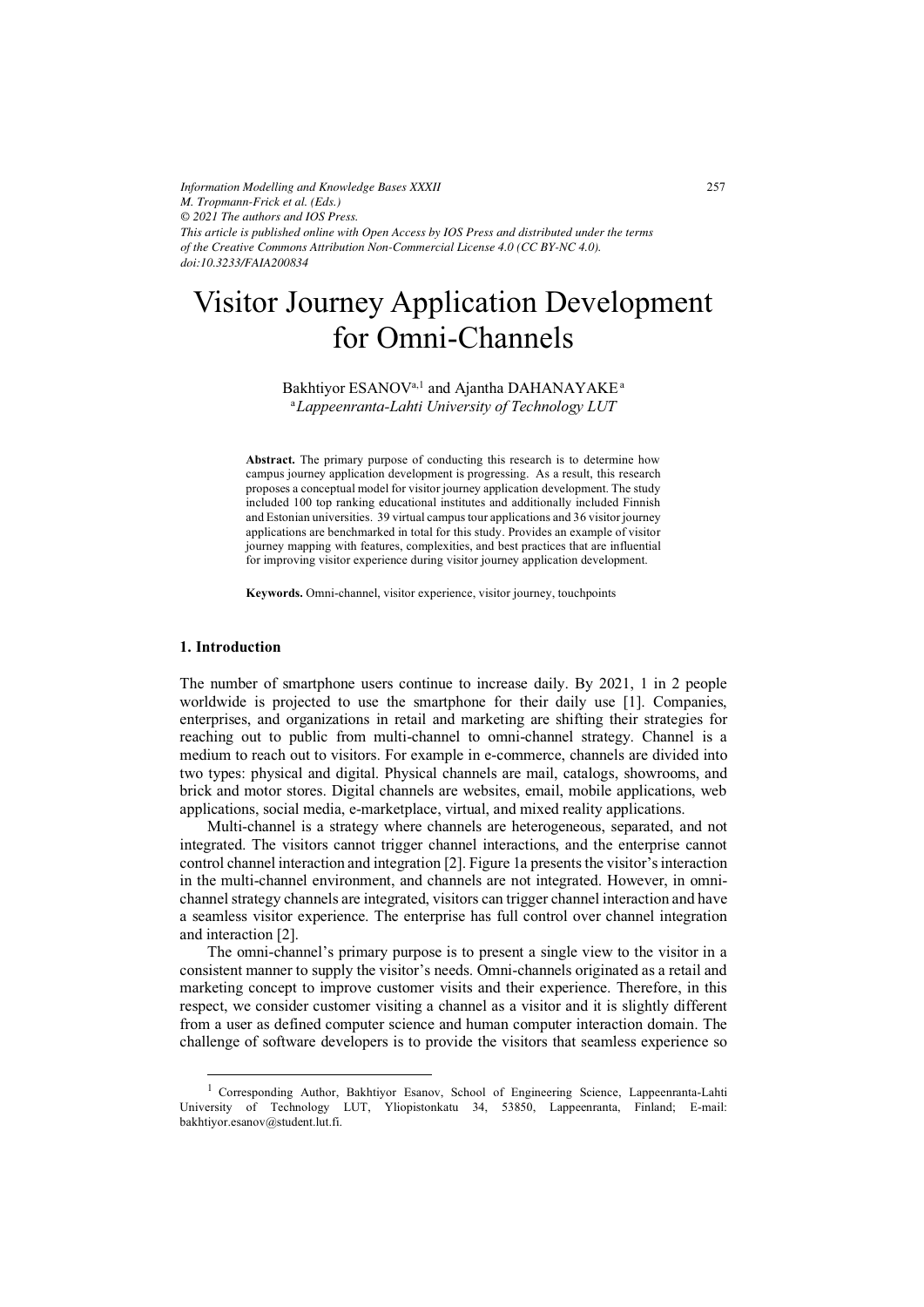*Information Modelling and Knowledge Bases XXXII M. Tropmann-Frick et al. (Eds.) © 2021 The authors and IOS Press. This article is published online with Open Access by IOS Press and distributed under the terms of the Creative Commons Attribution Non-Commercial License 4.0 (CC BY-NC 4.0). doi:10.3233/FAIA200834*

# Visitor Journey Application Development for Omni-Channels

Bakhtiyor ESANOV<sup>a,1</sup> and Ajantha DAHANAYAKE<sup>a</sup> <sup>a</sup>*Lappeenranta-Lahti University of Technology LUT* 

**Abstract.** The primary purpose of conducting this research is to determine how campus journey application development is progressing. As a result, this research proposes a conceptual model for visitor journey application development. The study included 100 top ranking educational institutes and additionally included Finnish and Estonian universities. 39 virtual campus tour applications and 36 visitor journey applications are benchmarked in total for this study. Provides an example of visitor journey mapping with features, complexities, and best practices that are influential for improving visitor experience during visitor journey application development.

**Keywords.** Omni-channel, visitor experience, visitor journey, touchpoints

# **1. Introduction**

The number of smartphone users continue to increase daily. By 2021, 1 in 2 people worldwide is projected to use the smartphone for their daily use [1]. Companies, enterprises, and organizations in retail and marketing are shifting their strategies for reaching out to public from multi-channel to omni-channel strategy. Channel is a medium to reach out to visitors. For example in e-commerce, channels are divided into two types: physical and digital. Physical channels are mail, catalogs, showrooms, and brick and motor stores. Digital channels are websites, email, mobile applications, web applications, social media, e-marketplace, virtual, and mixed reality applications.

Multi-channel is a strategy where channels are heterogeneous, separated, and not integrated. The visitors cannot trigger channel interactions, and the enterprise cannot control channel interaction and integration [2]. Figure 1a presents the visitor's interaction in the multi-channel environment, and channels are not integrated. However, in omnichannel strategy channels are integrated, visitors can trigger channel interaction and have a seamless visitor experience. The enterprise has full control over channel integration and interaction [2].

The omni-channel's primary purpose is to present a single view to the visitor in a consistent manner to supply the visitor's needs. Omni-channels originated as a retail and marketing concept to improve customer visits and their experience. Therefore, in this respect, we consider customer visiting a channel as a visitor and it is slightly different from a user as defined computer science and human computer interaction domain. The challenge of software developers is to provide the visitors that seamless experience so

<sup>&</sup>lt;sup>1</sup> Corresponding Author, Bakhtiyor Esanov, School of Engineering Science, Lappeenranta-Lahti University of Technology LUT, Yliopistonkatu 34, 53850, Lappeenranta, Finland; E-mail: bakhtiyor.esanov@student.lut.fi.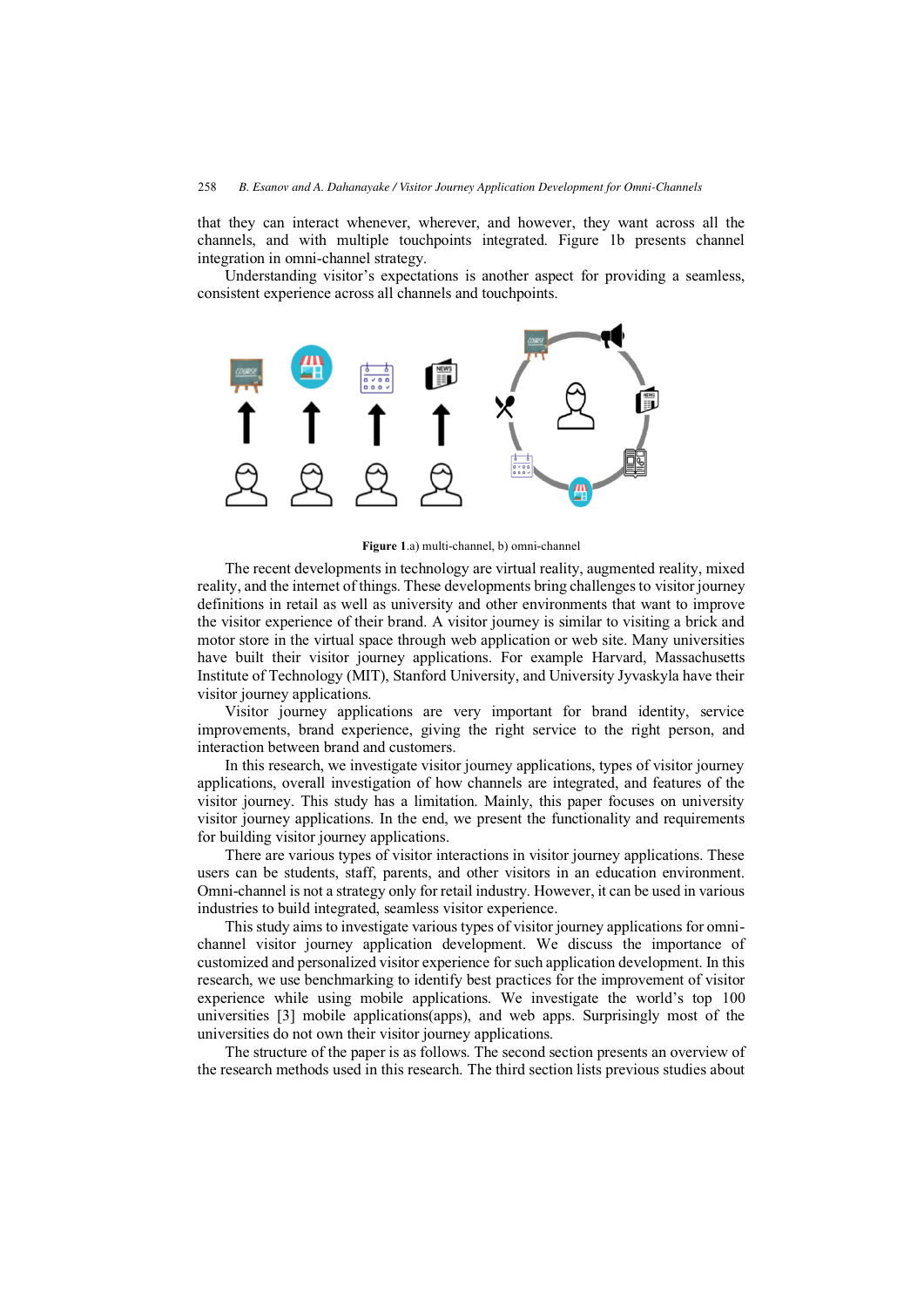that they can interact whenever, wherever, and however, they want across all the channels, and with multiple touchpoints integrated. Figure 1b presents channel integration in omni-channel strategy.

Understanding visitor's expectations is another aspect for providing a seamless, consistent experience across all channels and touchpoints.



**Figure 1**.a) multi-channel, b) omni-channel

The recent developments in technology are virtual reality, augmented reality, mixed reality, and the internet of things. These developments bring challenges to visitor journey definitions in retail as well as university and other environments that want to improve the visitor experience of their brand. A visitor journey is similar to visiting a brick and motor store in the virtual space through web application or web site. Many universities have built their visitor journey applications. For example Harvard, Massachusetts Institute of Technology (MIT), Stanford University, and University Jyvaskyla have their visitor journey applications.

Visitor journey applications are very important for brand identity, service improvements, brand experience, giving the right service to the right person, and interaction between brand and customers.

In this research, we investigate visitor journey applications, types of visitor journey applications, overall investigation of how channels are integrated, and features of the visitor journey. This study has a limitation. Mainly, this paper focuses on university visitor journey applications. In the end, we present the functionality and requirements for building visitor journey applications.

There are various types of visitor interactions in visitor journey applications. These users can be students, staff, parents, and other visitors in an education environment. Omni-channel is not a strategy only for retail industry. However, it can be used in various industries to build integrated, seamless visitor experience.

This study aims to investigate various types of visitor journey applications for omnichannel visitor journey application development. We discuss the importance of customized and personalized visitor experience for such application development. In this research, we use benchmarking to identify best practices for the improvement of visitor experience while using mobile applications. We investigate the world's top 100 universities [3] mobile applications(apps), and web apps. Surprisingly most of the universities do not own their visitor journey applications.

The structure of the paper is as follows. The second section presents an overview of the research methods used in this research. The third section lists previous studies about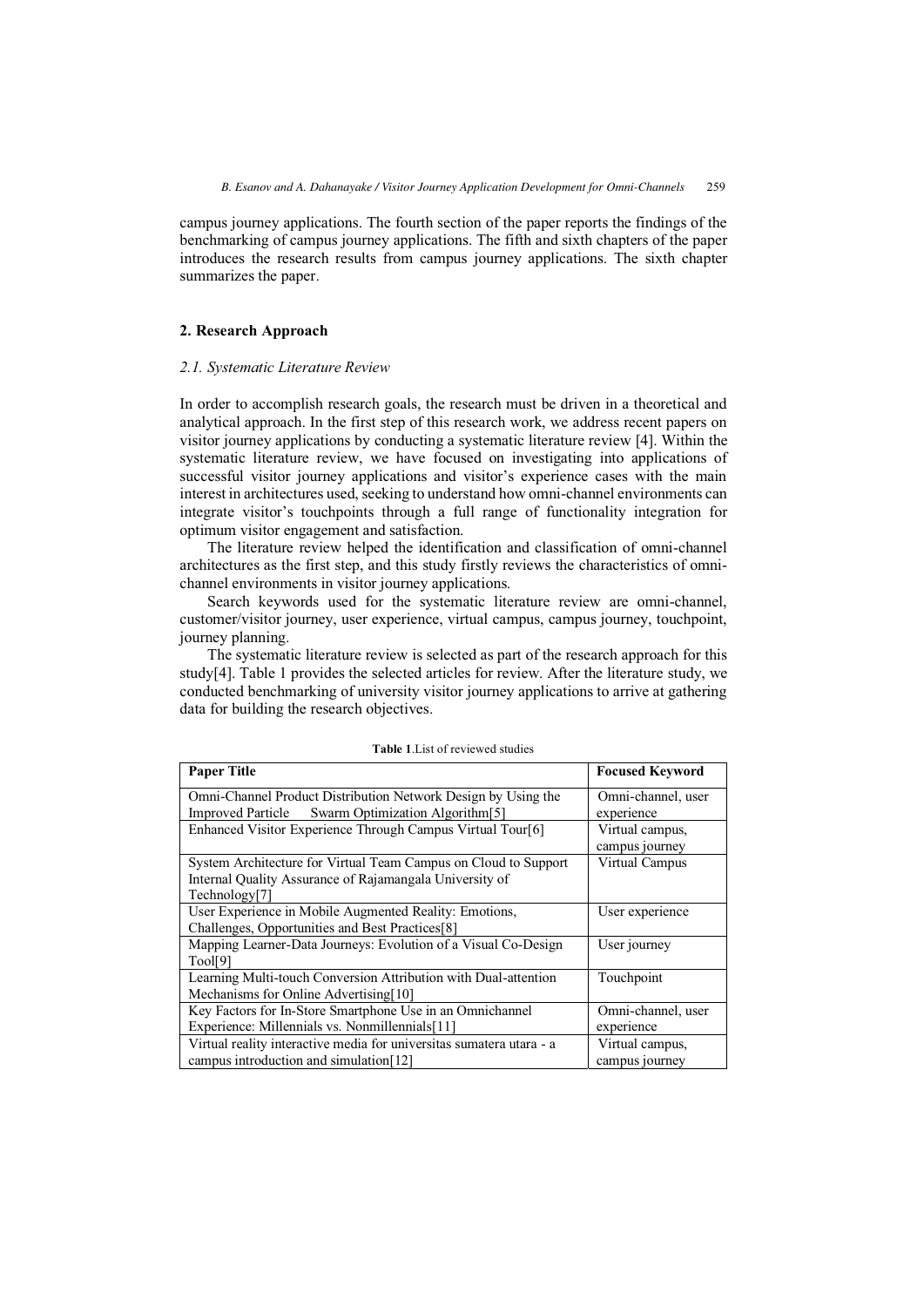campus journey applications. The fourth section of the paper reports the findings of the benchmarking of campus journey applications. The fifth and sixth chapters of the paper introduces the research results from campus journey applications. The sixth chapter summarizes the paper.

# **2. Research Approach**

# *2.1. Systematic Literature Review*

In order to accomplish research goals, the research must be driven in a theoretical and analytical approach. In the first step of this research work, we address recent papers on visitor journey applications by conducting a systematic literature review [4]. Within the systematic literature review, we have focused on investigating into applications of successful visitor journey applications and visitor's experience cases with the main interest in architectures used, seeking to understand how omni-channel environments can integrate visitor's touchpoints through a full range of functionality integration for optimum visitor engagement and satisfaction.

The literature review helped the identification and classification of omni-channel architectures as the first step, and this study firstly reviews the characteristics of omnichannel environments in visitor journey applications.

Search keywords used for the systematic literature review are omni-channel, customer/visitor journey, user experience, virtual campus, campus journey, touchpoint, journey planning.

The systematic literature review is selected as part of the research approach for this study[4]. Table 1 provides the selected articles for review. After the literature study, we conducted benchmarking of university visitor journey applications to arrive at gathering data for building the research objectives.

| <b>Paper Title</b>                                                                                                                          | <b>Focused Keyword</b>            |
|---------------------------------------------------------------------------------------------------------------------------------------------|-----------------------------------|
| Omni-Channel Product Distribution Network Design by Using the<br>Swarm Optimization Algorithm <sup>[5]</sup><br><b>Improved Particle</b>    | Omni-channel, user<br>experience  |
| Enhanced Visitor Experience Through Campus Virtual Tour[6]                                                                                  | Virtual campus,<br>campus journey |
| System Architecture for Virtual Team Campus on Cloud to Support<br>Internal Quality Assurance of Rajamangala University of<br>Technology[7] | Virtual Campus                    |
| User Experience in Mobile Augmented Reality: Emotions,<br>Challenges, Opportunities and Best Practices[8]                                   | User experience                   |
| Mapping Learner-Data Journeys: Evolution of a Visual Co-Design<br>Tool[9]                                                                   | User journey                      |
| Learning Multi-touch Conversion Attribution with Dual-attention<br>Mechanisms for Online Advertising [10]                                   | Touchpoint                        |
| Key Factors for In-Store Smartphone Use in an Omnichannel<br>Experience: Millennials vs. Nonmillennials[11]                                 | Omni-channel, user<br>experience  |
| Virtual reality interactive media for universitas sumatera utara - a<br>campus introduction and simulation [12]                             | Virtual campus,<br>campus journey |

#### **Table 1**.List of reviewed studies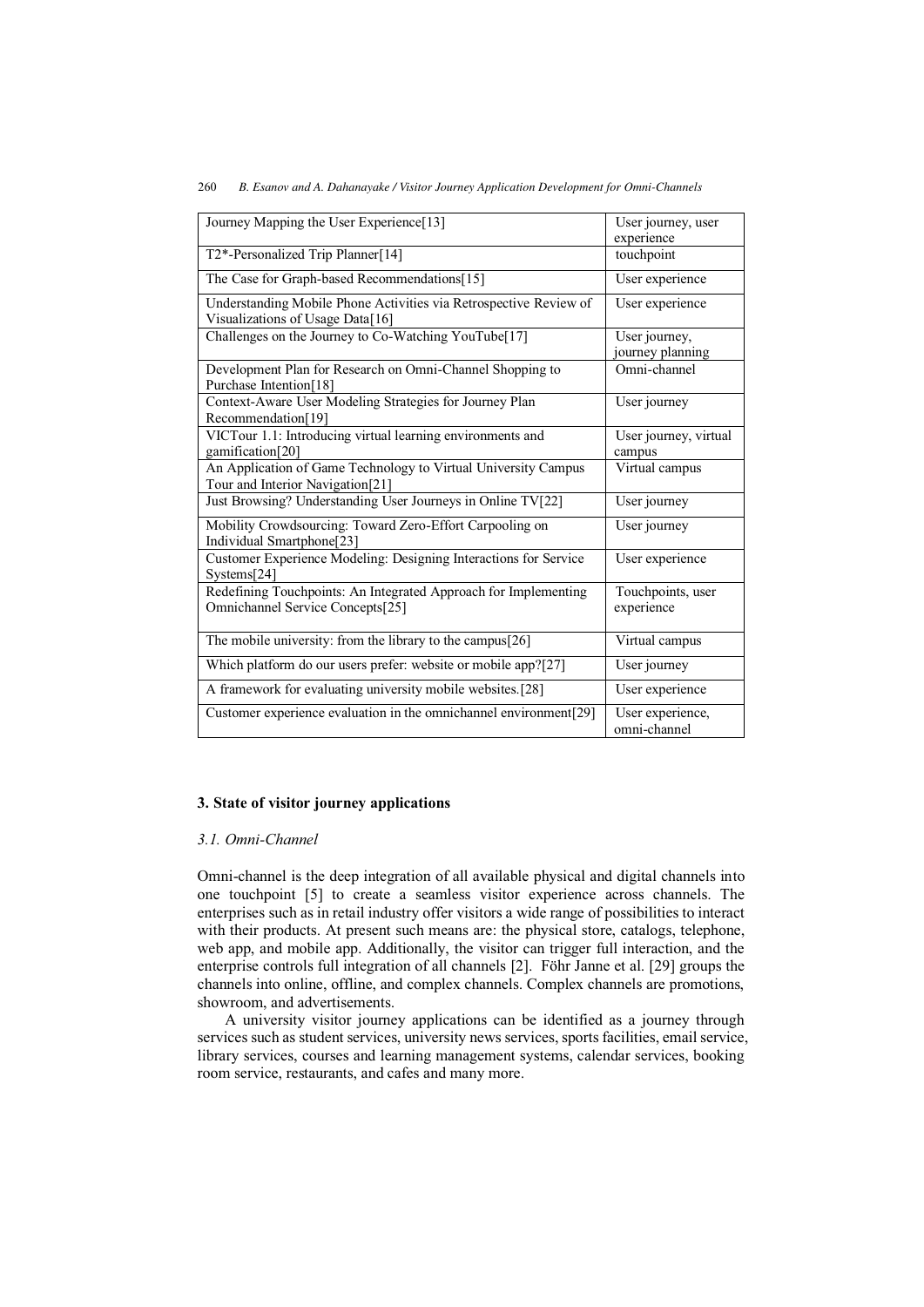| Journey Mapping the User Experience[13]                                                               | User journey, user<br>experience  |
|-------------------------------------------------------------------------------------------------------|-----------------------------------|
| T2*-Personalized Trip Planner[14]                                                                     | touchpoint                        |
| The Case for Graph-based Recommendations[15]                                                          | User experience                   |
| Understanding Mobile Phone Activities via Retrospective Review of<br>Visualizations of Usage Data[16] | User experience                   |
| Challenges on the Journey to Co-Watching YouTube[17]                                                  | User journey,<br>journey planning |
| Development Plan for Research on Omni-Channel Shopping to<br>Purchase Intention[18]                   | Omni-channel                      |
| Context-Aware User Modeling Strategies for Journey Plan<br>Recommendation[19]                         | User journey                      |
| VICTour 1.1: Introducing virtual learning environments and<br>gamification[20]                        | User journey, virtual<br>campus   |
| An Application of Game Technology to Virtual University Campus<br>Tour and Interior Navigation[21]    | Virtual campus                    |
| Just Browsing? Understanding User Journeys in Online TV[22]                                           | User journey                      |
| Mobility Crowdsourcing: Toward Zero-Effort Carpooling on<br>Individual Smartphone[23]                 | User journey                      |
| Customer Experience Modeling: Designing Interactions for Service<br>Systems[24]                       | User experience                   |
| Redefining Touchpoints: An Integrated Approach for Implementing<br>Omnichannel Service Concepts[25]   | Touchpoints, user<br>experience   |
| The mobile university: from the library to the campus[26]                                             | Virtual campus                    |
| Which platform do our users prefer: website or mobile app?[27]                                        | User journey                      |
| A framework for evaluating university mobile websites.[28]                                            | User experience                   |
| Customer experience evaluation in the omnichannel environment[29]                                     | User experience,<br>omni-channel  |

# **3. State of visitor journey applications**

# *3.1. Omni-Channel*

Omni-channel is the deep integration of all available physical and digital channels into one touchpoint [5] to create a seamless visitor experience across channels. The enterprises such as in retail industry offer visitors a wide range of possibilities to interact with their products. At present such means are: the physical store, catalogs, telephone, web app, and mobile app. Additionally, the visitor can trigger full interaction, and the enterprise controls full integration of all channels [2]. Föhr Janne et al. [29] groups the channels into online, offline, and complex channels. Complex channels are promotions, showroom, and advertisements.

A university visitor journey applications can be identified as a journey through services such as student services, university news services, sports facilities, email service, library services, courses and learning management systems, calendar services, booking room service, restaurants, and cafes and many more.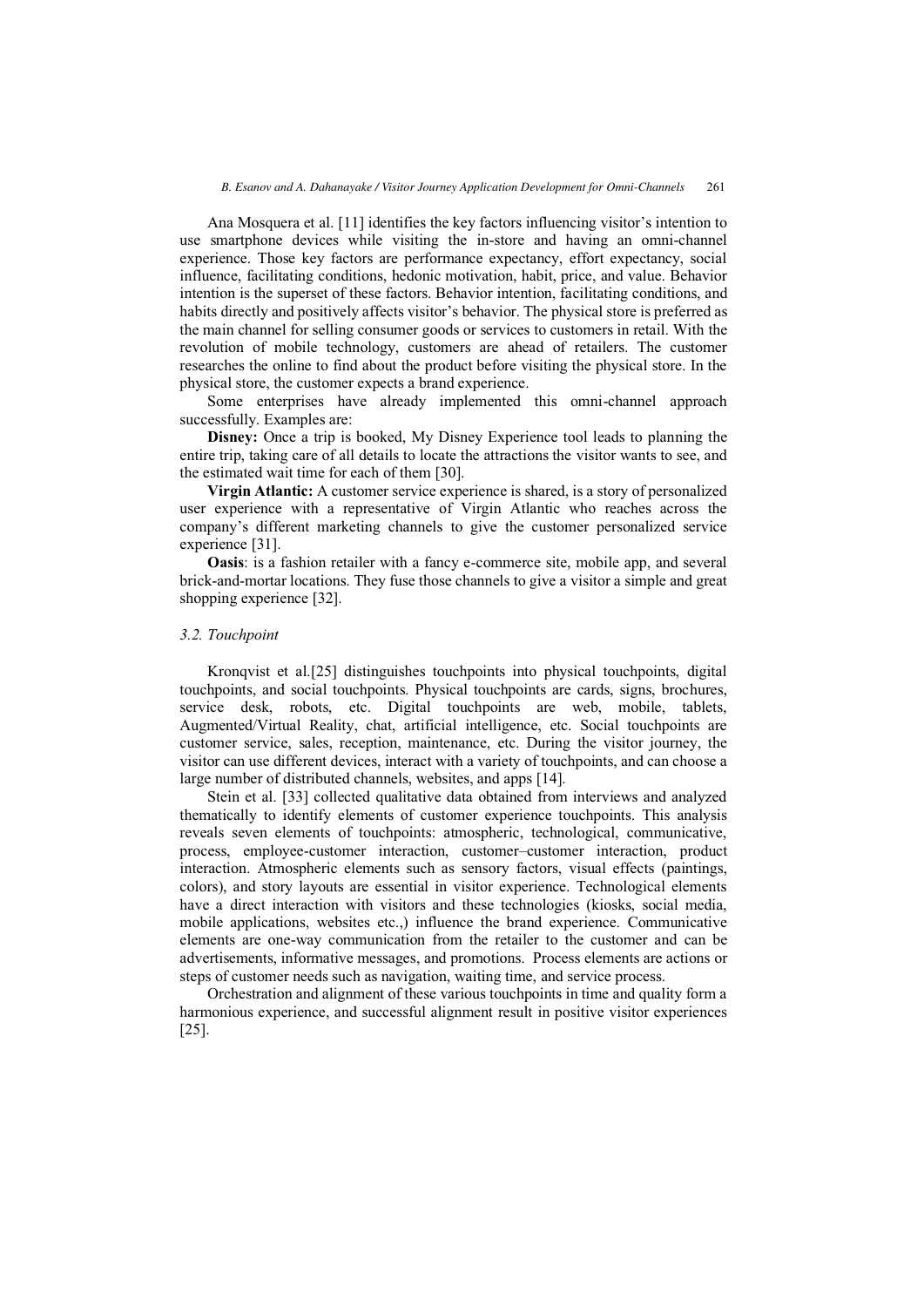Ana Mosquera et al. [11] identifies the key factors influencing visitor's intention to use smartphone devices while visiting the in-store and having an omni-channel experience. Those key factors are performance expectancy, effort expectancy, social influence, facilitating conditions, hedonic motivation, habit, price, and value. Behavior intention is the superset of these factors. Behavior intention, facilitating conditions, and habits directly and positively affects visitor's behavior. The physical store is preferred as the main channel for selling consumer goods or services to customers in retail. With the revolution of mobile technology, customers are ahead of retailers. The customer researches the online to find about the product before visiting the physical store. In the physical store, the customer expects a brand experience.

Some enterprises have already implemented this omni-channel approach successfully. Examples are:

**Disney:** Once a trip is booked, My Disney Experience tool leads to planning the entire trip, taking care of all details to locate the attractions the visitor wants to see, and the estimated wait time for each of them [30].

**Virgin Atlantic:** A customer service experience is shared, is a story of personalized user experience with a representative of Virgin Atlantic who reaches across the company's different marketing channels to give the customer personalized service experience [31].

**Oasis**: is a fashion retailer with a fancy e-commerce site, mobile app, and several brick-and-mortar locations. They fuse those channels to give a visitor a simple and great shopping experience [32].

#### *3.2. Touchpoint*

Kronqvist et al.[25] distinguishes touchpoints into physical touchpoints, digital touchpoints, and social touchpoints. Physical touchpoints are cards, signs, brochures, service desk, robots, etc. Digital touchpoints are web, mobile, tablets, Augmented/Virtual Reality, chat, artificial intelligence, etc. Social touchpoints are customer service, sales, reception, maintenance, etc. During the visitor journey, the visitor can use different devices, interact with a variety of touchpoints, and can choose a large number of distributed channels, websites, and apps [14].

Stein et al. [33] collected qualitative data obtained from interviews and analyzed thematically to identify elements of customer experience touchpoints. This analysis reveals seven elements of touchpoints: atmospheric, technological, communicative, process, employee-customer interaction, customer–customer interaction, product interaction. Atmospheric elements such as sensory factors, visual effects (paintings, colors), and story layouts are essential in visitor experience. Technological elements have a direct interaction with visitors and these technologies (kiosks, social media, mobile applications, websites etc.,) influence the brand experience. Communicative elements are one-way communication from the retailer to the customer and can be advertisements, informative messages, and promotions. Process elements are actions or steps of customer needs such as navigation, waiting time, and service process.

Orchestration and alignment of these various touchpoints in time and quality form a harmonious experience, and successful alignment result in positive visitor experiences [25].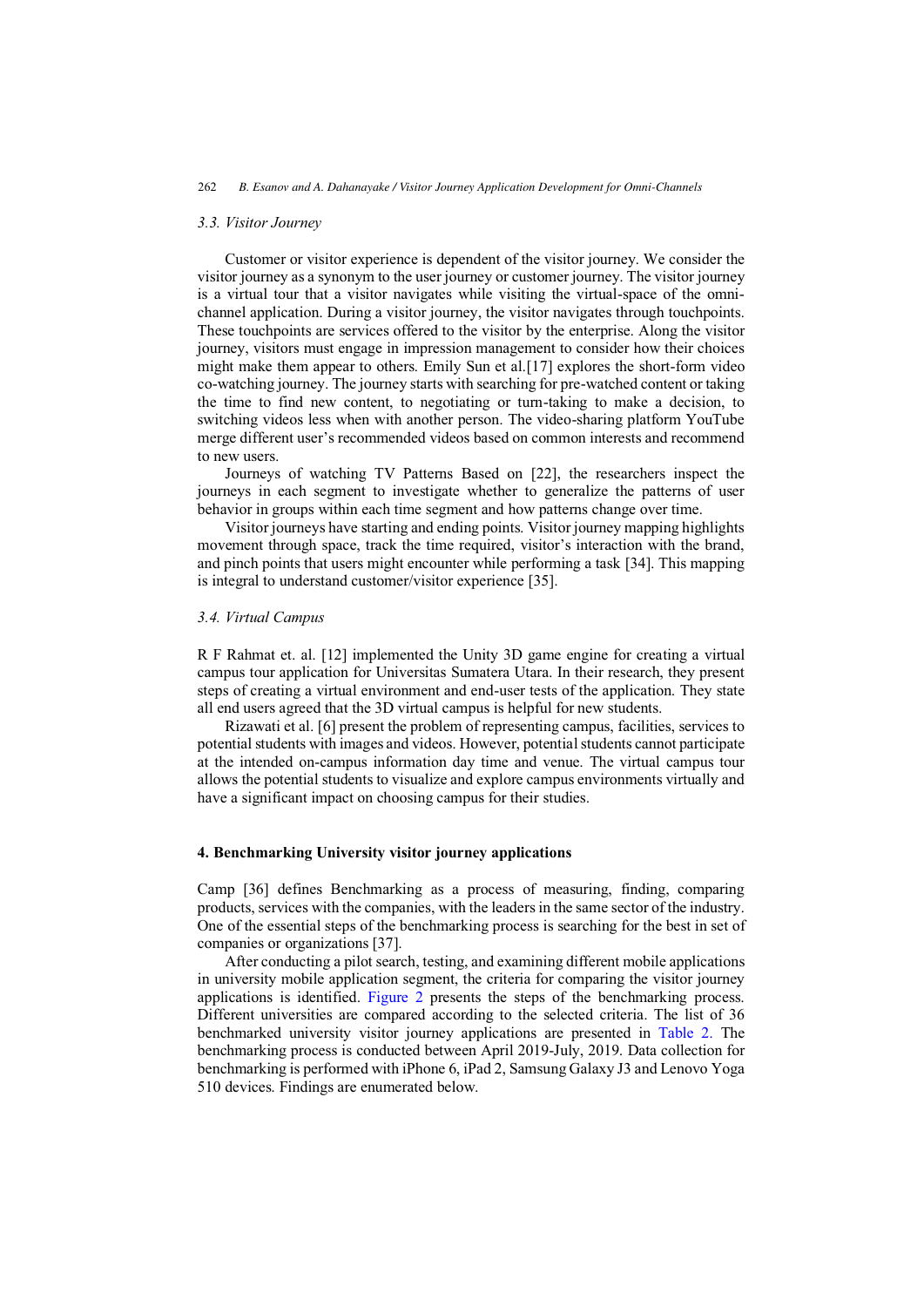#### *3.3. Visitor Journey*

Customer or visitor experience is dependent of the visitor journey. We consider the visitor journey as a synonym to the user journey or customer journey. The visitor journey is a virtual tour that a visitor navigates while visiting the virtual-space of the omnichannel application. During a visitor journey, the visitor navigates through touchpoints. These touchpoints are services offered to the visitor by the enterprise. Along the visitor journey, visitors must engage in impression management to consider how their choices might make them appear to others. Emily Sun et al.[17] explores the short-form video co-watching journey. The journey starts with searching for pre-watched content or taking the time to find new content, to negotiating or turn-taking to make a decision, to switching videos less when with another person. The video-sharing platform YouTube merge different user's recommended videos based on common interests and recommend to new users.

Journeys of watching TV Patterns Based on [22], the researchers inspect the journeys in each segment to investigate whether to generalize the patterns of user behavior in groups within each time segment and how patterns change over time.

Visitor journeys have starting and ending points. Visitor journey mapping highlights movement through space, track the time required, visitor's interaction with the brand, and pinch points that users might encounter while performing a task [34]. This mapping is integral to understand customer/visitor experience [35].

#### *3.4. Virtual Campus*

R F Rahmat et. al. [12] implemented the Unity 3D game engine for creating a virtual campus tour application for Universitas Sumatera Utara. In their research, they present steps of creating a virtual environment and end-user tests of the application. They state all end users agreed that the 3D virtual campus is helpful for new students.

Rizawati et al. [6] present the problem of representing campus, facilities, services to potential students with images and videos. However, potential students cannot participate at the intended on-campus information day time and venue. The virtual campus tour allows the potential students to visualize and explore campus environments virtually and have a significant impact on choosing campus for their studies.

#### **4. Benchmarking University visitor journey applications**

Camp [36] defines Benchmarking as a process of measuring, finding, comparing products, services with the companies, with the leaders in the same sector of the industry. One of the essential steps of the benchmarking process is searching for the best in set of companies or organizations [37].

After conducting a pilot search, testing, and examining different mobile applications in university mobile application segment, the criteria for comparing the visitor journey applications is identified. [Figure 2](#page-6-0) presents the steps of the benchmarking process. Different universities are compared according to the selected criteria. The list of 36 benchmarked university visitor journey applications are presented in [Table 2.](#page-6-0) The benchmarking process is conducted between April 2019-July, 2019. Data collection for benchmarking is performed with iPhone 6, iPad 2, Samsung Galaxy J3 and Lenovo Yoga 510 devices. Findings are enumerated below.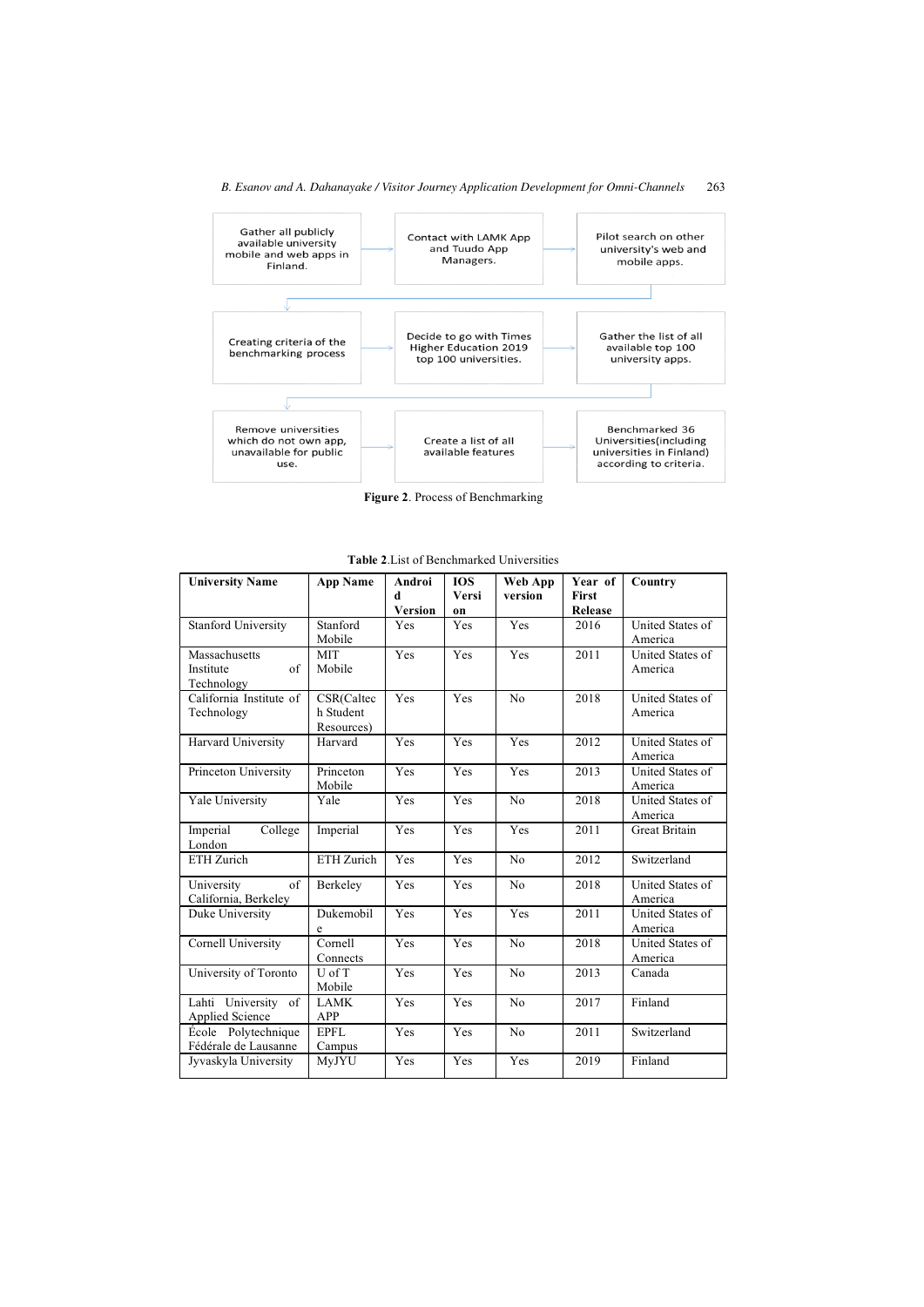<span id="page-6-0"></span>

**Figure 2**. Process of Benchmarking

| <b>University Name</b>                                 | <b>App Name</b>                       | Androi<br>Ч<br><b>Version</b> | <b>TOS</b><br>Versi<br>on | Web App<br>version | Year of<br>First<br>Release | Country                            |
|--------------------------------------------------------|---------------------------------------|-------------------------------|---------------------------|--------------------|-----------------------------|------------------------------------|
| <b>Stanford University</b>                             | Stanford<br>Mobile                    | Yes                           | Yes                       | Yes                | 2016                        | United States of<br>America        |
| Massachusetts<br>$\sigma$ f<br>Institute<br>Technology | <b>MIT</b><br>Mobile                  | Yes                           | Yes                       | Yes                | 2011                        | United States of<br>America        |
| California Institute of<br>Technology                  | CSR(Caltec<br>h Student<br>Resources) | Yes                           | Yes                       | No                 | 2018                        | United States of<br>America        |
| Harvard University                                     | Harvard                               | Yes                           | Yes                       | Yes                | 2012                        | United States of<br>America        |
| Princeton University                                   | Princeton<br>Mobile                   | Yes                           | Yes                       | Yes                | 2013                        | <b>United States of</b><br>America |
| Yale University                                        | Yale                                  | Yes                           | Yes                       | N <sub>0</sub>     | 2018                        | United States of<br>America        |
| Imperial<br>College<br>London                          | Imperial                              | Yes                           | Yes                       | Yes                | 2011                        | <b>Great Britain</b>               |
| ETH Zurich                                             | ETH Zurich                            | Yes                           | Yes                       | N <sub>0</sub>     | 2012                        | Switzerland                        |
| University<br>of<br>California, Berkeley               | Berkeley                              | Yes                           | Yes                       | No                 | 2018                        | United States of<br>America        |
| Duke University                                        | Dukemobil<br>e                        | Yes                           | Yes                       | Yes                | 2011                        | United States of<br>America        |
| Cornell University                                     | Cornell<br>Connects                   | Yes                           | Yes                       | No                 | 2018                        | <b>United States of</b><br>America |
| University of Toronto                                  | U of T<br>Mobile                      | Yes                           | Yes                       | N <sub>0</sub>     | 2013                        | Canada                             |
| Lahti University of<br>Applied Science                 | <b>LAMK</b><br>APP                    | Yes                           | Yes                       | N <sub>o</sub>     | 2017                        | Finland                            |
| École Polytechnique<br>Fédérale de Lausanne            | <b>EPFL</b><br>Campus                 | Yes                           | Yes                       | N <sub>0</sub>     | 2011                        | Switzerland                        |
| Jyvaskyla University                                   | MyJYU                                 | Yes                           | Yes                       | Yes                | 2019                        | Finland                            |

| <b>Table 2.</b> List of Benchmarked Universities |
|--------------------------------------------------|
|--------------------------------------------------|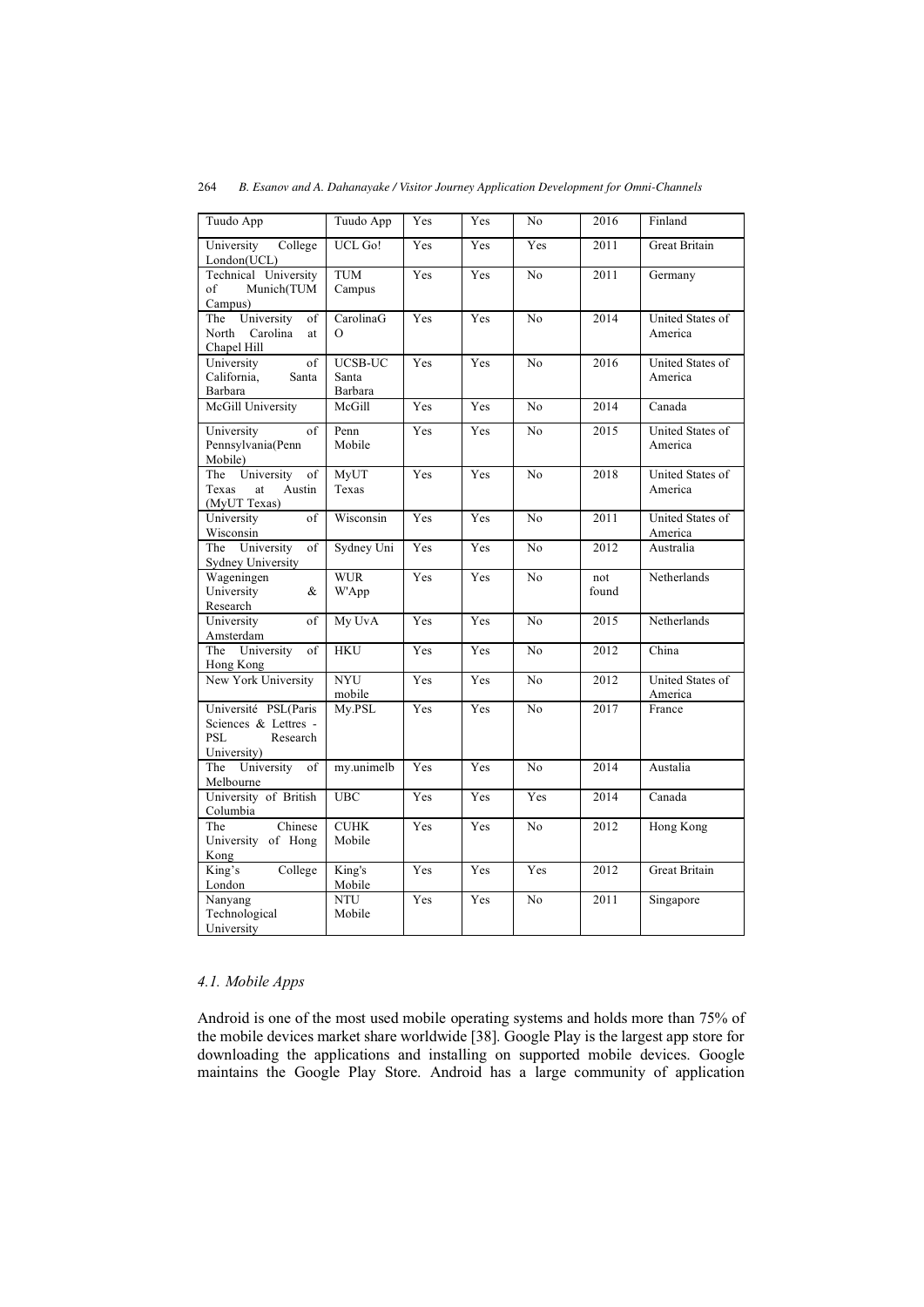| Tuudo App                                                                             | Tuudo App                   | Yes        | Yes        | No             | 2016         | Finland                     |
|---------------------------------------------------------------------------------------|-----------------------------|------------|------------|----------------|--------------|-----------------------------|
| University<br>College<br>London(UCL)                                                  | UCL Go!                     | Yes        | Yes        | Yes            | 2011         | Great Britain               |
| Technical University<br>Munich(TUM<br>of<br>Campus)                                   | <b>TUM</b><br>Campus        | Yes        | Yes        | N <sub>0</sub> | 2011         | Germany                     |
| University<br>The<br>of<br>North<br>Carolina<br>at<br>Chapel Hill                     | CarolinaG<br>$\Omega$       | Yes        | Yes        | N <sub>o</sub> | 2014         | United States of<br>America |
| University<br>of<br>California,<br>Santa<br>Barbara                                   | UCSB-UC<br>Santa<br>Barbara | Yes        | Yes        | N <sub>0</sub> | 2016         | United States of<br>America |
| McGill University                                                                     | McGill                      | Yes        | Yes        | N <sub>0</sub> | 2014         | Canada                      |
| University<br>of<br>Pennsylvania(Penn<br>Mobile)                                      | Penn<br>Mobile              | Yes        | Yes        | N <sub>o</sub> | 2015         | United States of<br>America |
| The<br>University<br>of<br>Texas<br>Austin<br>at<br>(MyUT Texas)                      | MyUT<br>Texas               | Yes        | Yes        | N <sub>o</sub> | 2018         | United States of<br>America |
| of<br>University<br>Wisconsin                                                         | Wisconsin                   | Yes        | Yes        | N <sub>0</sub> | 2011         | United States of<br>America |
| University<br>of<br>The<br><b>Sydney University</b>                                   | Sydney Uni                  | Yes        | <b>Yes</b> | N <sub>0</sub> | 2012         | Australia                   |
| Wageningen<br>University<br>&<br>Research                                             | <b>WUR</b><br>W'App         | Yes        | Yes        | N <sub>o</sub> | not<br>found | Netherlands                 |
| University<br>of<br>Amsterdam                                                         | My UvA                      | Yes        | Yes        | No             | 2015         | Netherlands                 |
| University<br>The<br>of<br>Hong Kong                                                  | <b>HKU</b>                  | Yes        | Yes        | N <sub>0</sub> | 2012         | China                       |
| New York University                                                                   | <b>NYU</b><br>mobile        | Yes        | Yes        | N <sub>0</sub> | 2012         | United States of<br>America |
| Université PSL(Paris<br>Sciences & Lettres -<br><b>PSL</b><br>Research<br>University) | My.PSL                      | Yes        | Yes        | N <sub>0</sub> | 2017         | France                      |
| University<br>The<br>of<br>Melbourne                                                  | my.unimelb                  | Yes        | Yes        | N <sub>0</sub> | 2014         | Austalia                    |
| University of British<br>Columbia                                                     | <b>UBC</b>                  | Yes        | Yes        | Yes            | 2014         | Canada                      |
| Chinese<br>The<br>University of Hong<br>Kong                                          | <b>CUHK</b><br>Mobile       | <b>Yes</b> | Yes        | N <sub>o</sub> | 2012         | Hong Kong                   |
| King's<br>College<br>London                                                           | King's<br>Mobile            | Yes        | Yes        | Yes            | 2012         | <b>Great Britain</b>        |
| Nanyang<br>Technological<br>University                                                | NTU<br>Mobile               | Yes        | Yes        | N <sub>0</sub> | 2011         | Singapore                   |

# *4.1. Mobile Apps*

Android is one of the most used mobile operating systems and holds more than 75% of the mobile devices market share worldwide [38]. Google Play is the largest app store for downloading the applications and installing on supported mobile devices. Google maintains the Google Play Store. Android has a large community of application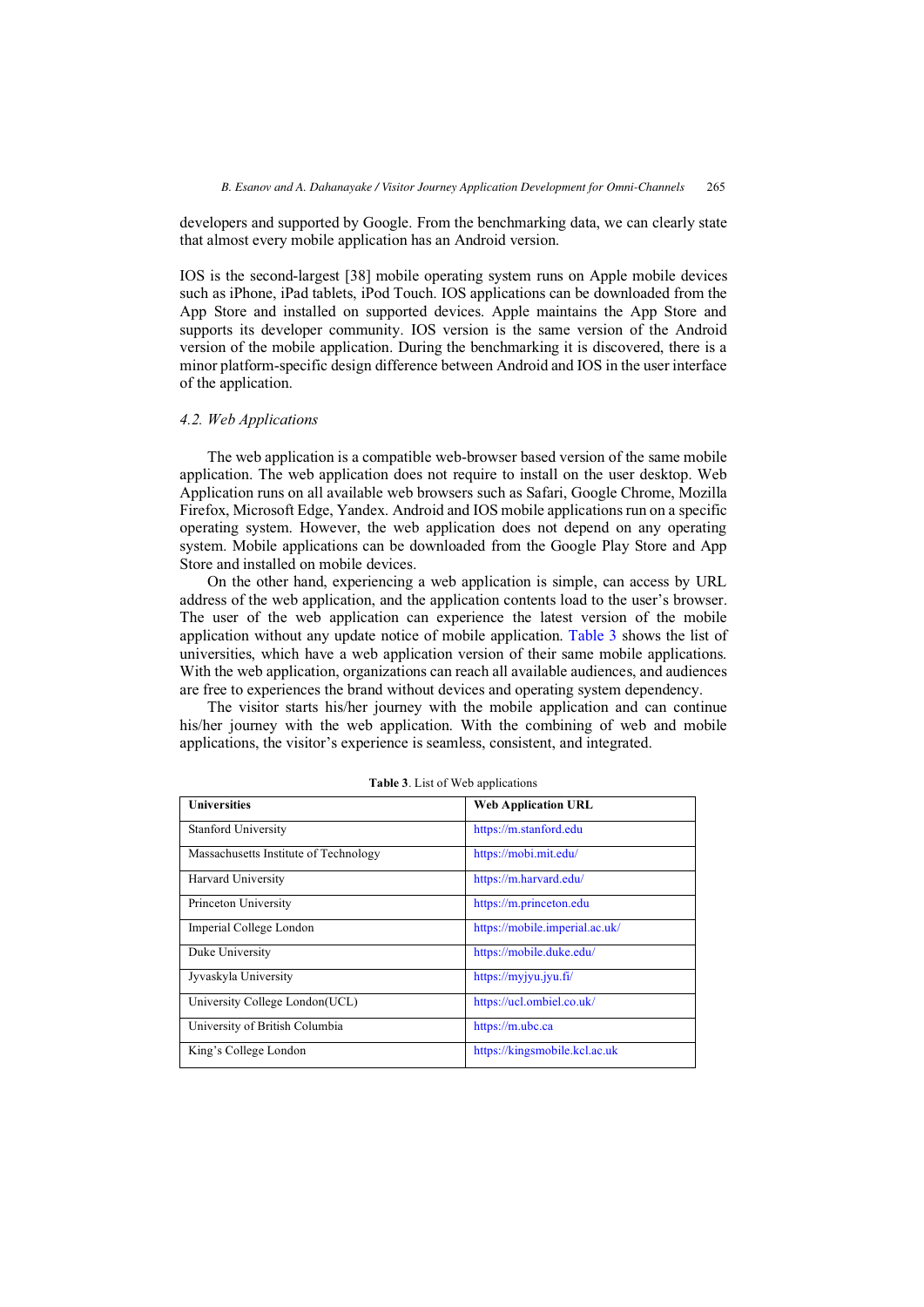developers and supported by Google. From the benchmarking data, we can clearly state that almost every mobile application has an Android version.

IOS is the second-largest [38] mobile operating system runs on Apple mobile devices such as iPhone, iPad tablets, iPod Touch. IOS applications can be downloaded from the App Store and installed on supported devices. Apple maintains the App Store and supports its developer community. IOS version is the same version of the Android version of the mobile application. During the benchmarking it is discovered, there is a minor platform-specific design difference between Android and IOS in the user interface of the application.

#### *4.2. Web Applications*

The web application is a compatible web-browser based version of the same mobile application. The web application does not require to install on the user desktop. Web Application runs on all available web browsers such as Safari, Google Chrome, Mozilla Firefox, Microsoft Edge, Yandex. Android and IOS mobile applications run on a specific operating system. However, the web application does not depend on any operating system. Mobile applications can be downloaded from the Google Play Store and App Store and installed on mobile devices.

On the other hand, experiencing a web application is simple, can access by URL address of the web application, and the application contents load to the user's browser. The user of the web application can experience the latest version of the mobile application without any update notice of mobile application. Table 3 shows the list of universities, which have a web application version of their same mobile applications. With the web application, organizations can reach all available audiences, and audiences are free to experiences the brand without devices and operating system dependency.

The visitor starts his/her journey with the mobile application and can continue his/her journey with the web application. With the combining of web and mobile applications, the visitor's experience is seamless, consistent, and integrated.

| <b>Universities</b>                   | <b>Web Application URL</b>     |
|---------------------------------------|--------------------------------|
| <b>Stanford University</b>            | https://m.stanford.edu         |
| Massachusetts Institute of Technology | https://mobi.mit.edu/          |
| <b>Harvard University</b>             | https://m.harvard.edu/         |
| Princeton University                  | https://m.princeton.edu        |
| Imperial College London               | https://mobile.imperial.ac.uk/ |
| Duke University                       | https://mobile.duke.edu/       |
| Jyvaskyla University                  | https://myjyu.jyu.fi/          |
| University College London(UCL)        | https://ucl.ombiel.co.uk/      |
| University of British Columbia        | https://m.ubc.ca               |
| King's College London                 | https://kingsmobile.kcl.ac.uk  |

**Table 3**. List of Web applications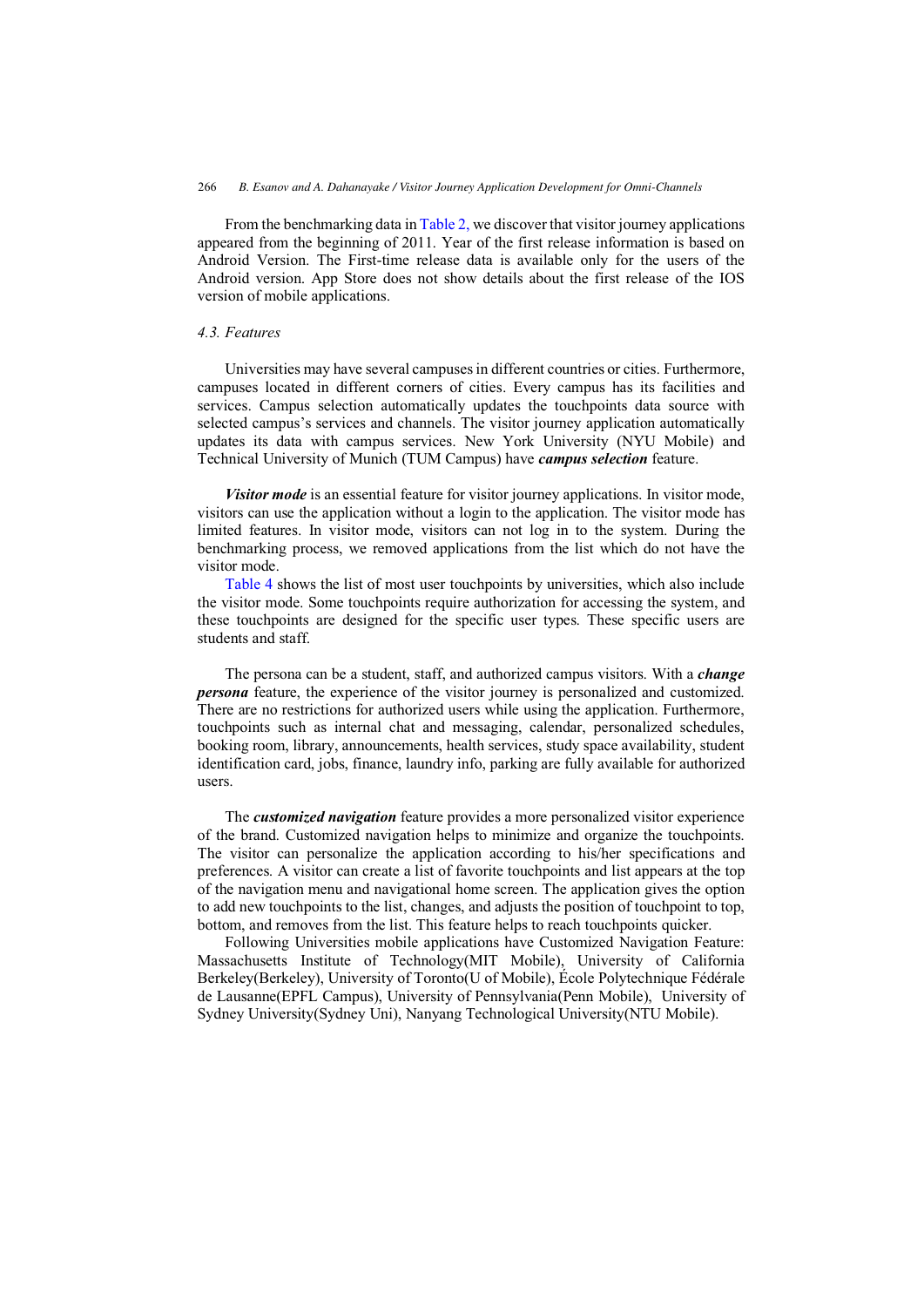From the benchmarking data i[n Table 2,](#page-6-0) we discover that visitor journey applications appeared from the beginning of 2011. Year of the first release information is based on Android Version. The First-time release data is available only for the users of the Android version. App Store does not show details about the first release of the IOS version of mobile applications.

# *4.3. Features*

Universities may have several campuses in different countries or cities. Furthermore, campuses located in different corners of cities. Every campus has its facilities and services. Campus selection automatically updates the touchpoints data source with selected campus's services and channels. The visitor journey application automatically updates its data with campus services. New York University (NYU Mobile) and Technical University of Munich (TUM Campus) have *campus selection* feature.

*Visitor mode* is an essential feature for visitor journey applications. In visitor mode, visitors can use the application without a login to the application. The visitor mode has limited features. In visitor mode, visitors can not log in to the system. During the benchmarking process, we removed applications from the list which do not have the visitor mode.

[Table 4](#page-10-0) shows the list of most user touchpoints by universities, which also include the visitor mode. Some touchpoints require authorization for accessing the system, and these touchpoints are designed for the specific user types. These specific users are students and staff.

The persona can be a student, staff, and authorized campus visitors. With a *change persona* feature, the experience of the visitor journey is personalized and customized. There are no restrictions for authorized users while using the application. Furthermore, touchpoints such as internal chat and messaging, calendar, personalized schedules, booking room, library, announcements, health services, study space availability, student identification card, jobs, finance, laundry info, parking are fully available for authorized users.

The *customized navigation* feature provides a more personalized visitor experience of the brand. Customized navigation helps to minimize and organize the touchpoints. The visitor can personalize the application according to his/her specifications and preferences. A visitor can create a list of favorite touchpoints and list appears at the top of the navigation menu and navigational home screen. The application gives the option to add new touchpoints to the list, changes, and adjusts the position of touchpoint to top, bottom, and removes from the list. This feature helps to reach touchpoints quicker.

Following Universities mobile applications have Customized Navigation Feature: Massachusetts Institute of Technology(MIT Mobile), University of California Berkeley(Berkeley), University of Toronto(U of Mobile), École Polytechnique Fédérale de Lausanne(EPFL Campus), University of Pennsylvania(Penn Mobile), University of Sydney University(Sydney Uni), Nanyang Technological University(NTU Mobile).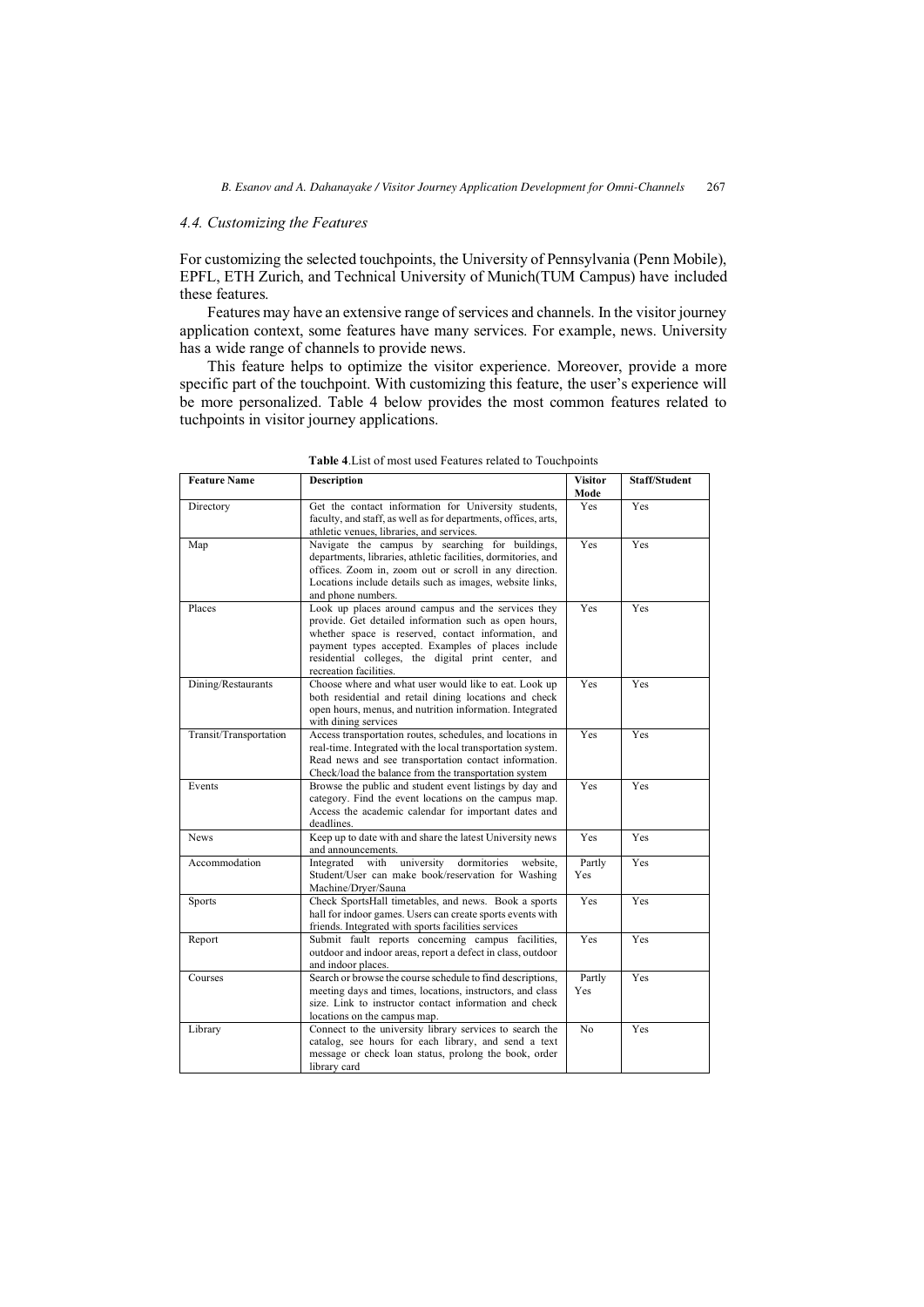## <span id="page-10-0"></span>*4.4. Customizing the Features*

For customizing the selected touchpoints, the University of Pennsylvania (Penn Mobile), EPFL, ETH Zurich, and Technical University of Munich(TUM Campus) have included these features.

Features may have an extensive range of services and channels. In the visitor journey application context, some features have many services. For example, news. University has a wide range of channels to provide news.

This feature helps to optimize the visitor experience. Moreover, provide a more specific part of the touchpoint. With customizing this feature, the user's experience will be more personalized. Table 4 below provides the most common features related to tuchpoints in visitor journey applications.

| <b>Feature Name</b>    | <b>Description</b>                                                                                                                                                                                                                                                                                        | <b>Visitor</b><br>Mode | <b>Staff/Student</b> |
|------------------------|-----------------------------------------------------------------------------------------------------------------------------------------------------------------------------------------------------------------------------------------------------------------------------------------------------------|------------------------|----------------------|
| Directory              | Get the contact information for University students,<br>faculty, and staff, as well as for departments, offices, arts,<br>athletic venues, libraries, and services.                                                                                                                                       | Yes                    | Yes                  |
| Map                    | Navigate the campus by searching for buildings,<br>departments, libraries, athletic facilities, dormitories, and<br>offices. Zoom in, zoom out or scroll in any direction.<br>Locations include details such as images, website links,<br>and phone numbers.                                              | Yes                    | Yes                  |
| Places                 | Look up places around campus and the services they<br>provide. Get detailed information such as open hours,<br>whether space is reserved, contact information, and<br>payment types accepted. Examples of places include<br>residential colleges, the digital print center, and<br>recreation facilities. | Yes                    | Yes                  |
| Dining/Restaurants     | Choose where and what user would like to eat. Look up<br>both residential and retail dining locations and check<br>open hours, menus, and nutrition information. Integrated<br>with dining services                                                                                                       | Yes                    | Yes                  |
| Transit/Transportation | Access transportation routes, schedules, and locations in<br>real-time. Integrated with the local transportation system.<br>Read news and see transportation contact information.<br>Check/load the balance from the transportation system                                                                | <b>Yes</b>             | Yes                  |
| Events                 | Browse the public and student event listings by day and<br>category. Find the event locations on the campus map.<br>Access the academic calendar for important dates and<br>deadlines.                                                                                                                    | Yes                    | Yes                  |
| <b>News</b>            | Keep up to date with and share the latest University news<br>and announcements.                                                                                                                                                                                                                           | Yes                    | Yes                  |
| Accommodation          | Integrated<br>university<br>dormitories<br>with<br>website.<br>Student/User can make book/reservation for Washing<br>Machine/Dryer/Sauna                                                                                                                                                                  | Partly<br>Yes          | Yes                  |
| Sports                 | Check SportsHall timetables, and news. Book a sports<br>hall for indoor games. Users can create sports events with<br>friends. Integrated with sports facilities services                                                                                                                                 | Yes                    | Yes                  |
| Report                 | Submit fault reports concerning campus facilities,<br>outdoor and indoor areas, report a defect in class, outdoor<br>and indoor places.                                                                                                                                                                   | Yes                    | Yes                  |
| Courses                | Search or browse the course schedule to find descriptions,<br>meeting days and times, locations, instructors, and class<br>size. Link to instructor contact information and check<br>locations on the campus map.                                                                                         | Partly<br>Yes          | Yes                  |
| Library                | Connect to the university library services to search the<br>catalog, see hours for each library, and send a text<br>message or check loan status, prolong the book, order<br>library card                                                                                                                 | No.                    | Yes                  |

**Table 4**.List of most used Features related to Touchpoints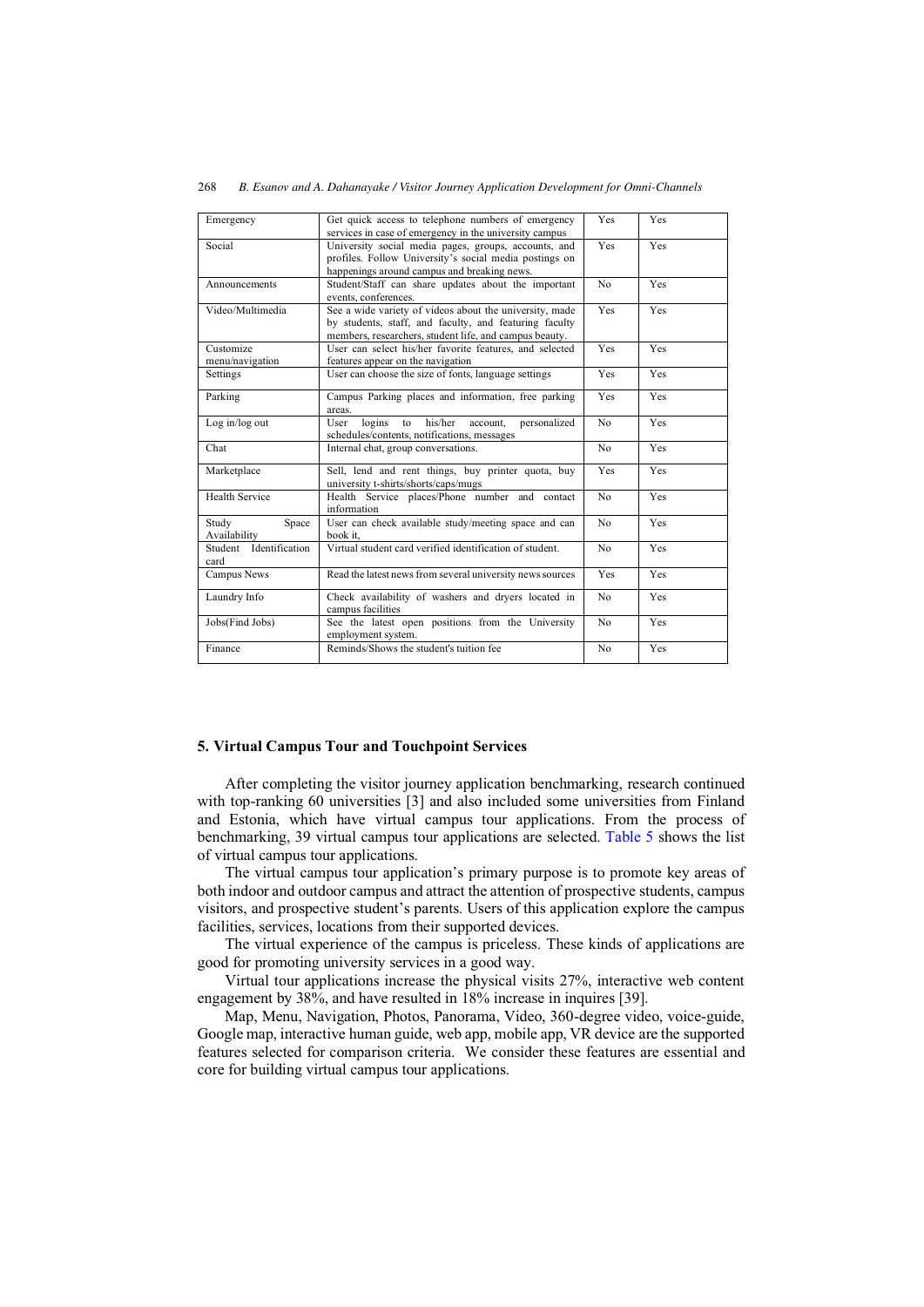| Emergency                      | Get quick access to telephone numbers of emergency<br>services in case of emergency in the university campus                                                                | Yes            | Yes        |  |  |  |  |
|--------------------------------|-----------------------------------------------------------------------------------------------------------------------------------------------------------------------------|----------------|------------|--|--|--|--|
| Social                         | University social media pages, groups, accounts, and<br>profiles. Follow University's social media postings on<br>happenings around campus and breaking news.               | Yes            | Yes        |  |  |  |  |
| Announcements                  | Student/Staff can share updates about the important<br>events, conferences.                                                                                                 | N <sub>o</sub> | <b>Yes</b> |  |  |  |  |
| Video/Multimedia               | See a wide variety of videos about the university, made<br>by students, staff, and faculty, and featuring faculty<br>members, researchers, student life, and campus beauty. |                |            |  |  |  |  |
| Customize<br>menu/navigation   | User can select his/her favorite features, and selected<br>features appear on the navigation                                                                                | Yes            | Yes        |  |  |  |  |
| Settings                       | User can choose the size of fonts, language settings                                                                                                                        | Yes            | Yes        |  |  |  |  |
| Parking                        | Yes                                                                                                                                                                         | Yes            |            |  |  |  |  |
| Log in/log out                 | his/her<br>logins<br>personalized<br>account,<br>User<br>to<br>schedules/contents, notifications, messages                                                                  | N <sub>0</sub> | Yes        |  |  |  |  |
| Chat                           | Internal chat, group conversations.                                                                                                                                         | N <sub>o</sub> | Yes        |  |  |  |  |
| Marketplace                    | Sell, lend and rent things, buy printer quota, buy<br>university t-shirts/shorts/caps/mugs                                                                                  | Yes            | <b>Yes</b> |  |  |  |  |
| <b>Health Service</b>          | Health Service places/Phone number and contact<br>information                                                                                                               | N <sub>o</sub> | Yes        |  |  |  |  |
| Study<br>Space<br>Availability | User can check available study/meeting space and can<br>book it,                                                                                                            | No             | Yes        |  |  |  |  |
| Student Identification<br>card | Virtual student card verified identification of student.                                                                                                                    | N <sub>o</sub> | <b>Yes</b> |  |  |  |  |
| Campus News                    | Read the latest news from several university news sources                                                                                                                   | Yes            | <b>Yes</b> |  |  |  |  |
| Laundry Info                   | Check availability of washers and dryers located in<br>campus facilities                                                                                                    | N <sub>o</sub> | <b>Yes</b> |  |  |  |  |
| Jobs(Find Jobs)                | See the latest open positions from the University<br>employment system.                                                                                                     | N <sub>o</sub> | Yes        |  |  |  |  |
| Finance                        | Reminds/Shows the student's tuition fee                                                                                                                                     | N <sub>o</sub> | Yes        |  |  |  |  |

#### **5. Virtual Campus Tour and Touchpoint Services**

After completing the visitor journey application benchmarking, research continued with top-ranking 60 universities [3] and also included some universities from Finland and Estonia, which have virtual campus tour applications. From the process of benchmarking, 39 virtual campus tour applications are selected. [Table 5](#page-12-0) shows the list of virtual campus tour applications.

The virtual campus tour application's primary purpose is to promote key areas of both indoor and outdoor campus and attract the attention of prospective students, campus visitors, and prospective student's parents. Users of this application explore the campus facilities, services, locations from their supported devices.

The virtual experience of the campus is priceless. These kinds of applications are good for promoting university services in a good way.

Virtual tour applications increase the physical visits 27%, interactive web content engagement by 38%, and have resulted in 18% increase in inquires [39].

Map, Menu, Navigation, Photos, Panorama, Video, 360-degree video, voice-guide, Google map, interactive human guide, web app, mobile app, VR device are the supported features selected for comparison criteria. We consider these features are essential and core for building virtual campus tour applications.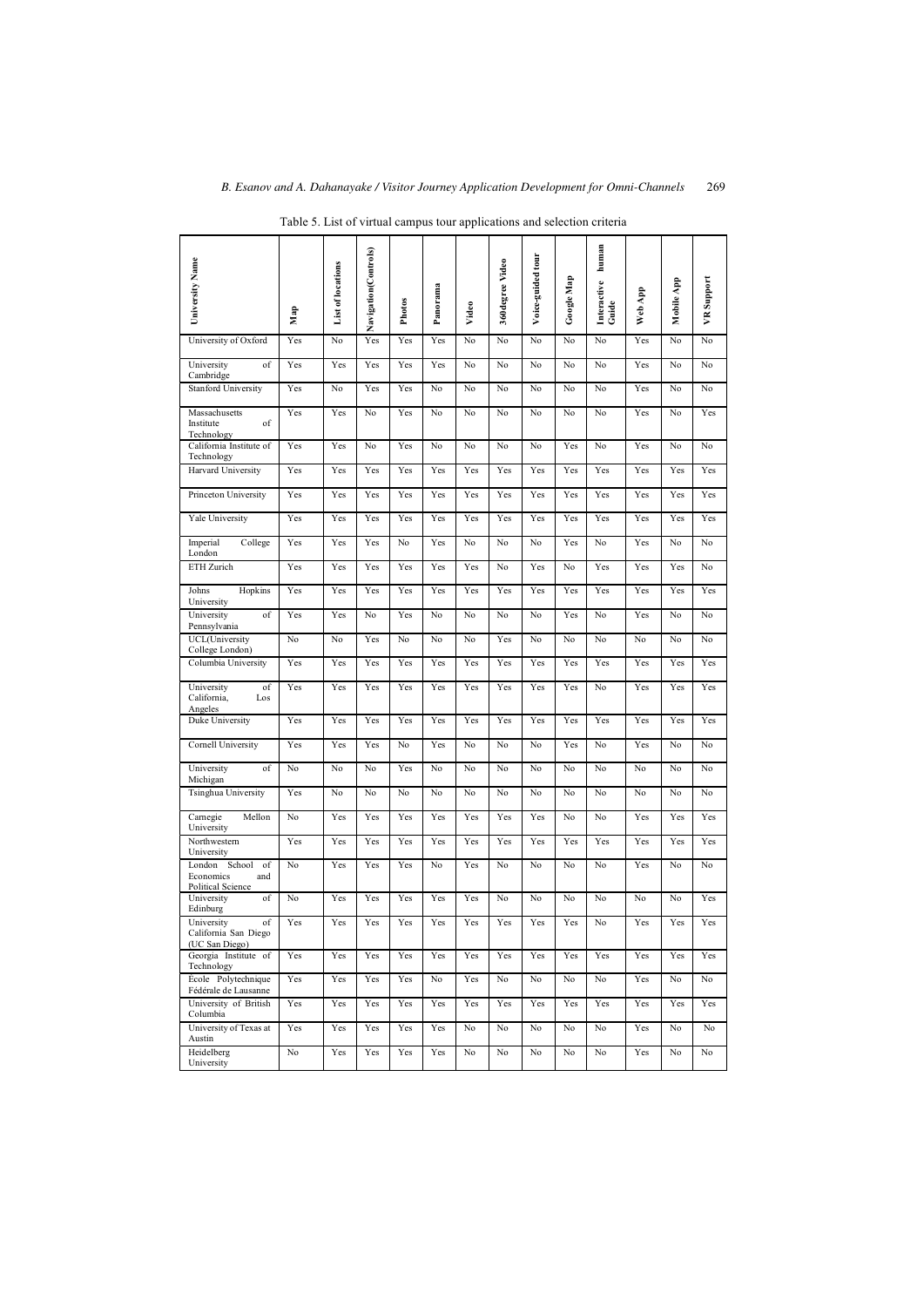<span id="page-12-0"></span>

| University Name                                                  |                  |                   | Navigation(Controls) |        |          |       | 360degree Video | Voice-guided tour |                   | human                         |         |            |                   |
|------------------------------------------------------------------|------------------|-------------------|----------------------|--------|----------|-------|-----------------|-------------------|-------------------|-------------------------------|---------|------------|-------------------|
|                                                                  |                  | List of locations |                      | Photos | Panorama | Video |                 |                   | <b>Google Map</b> | Interactive<br>${\bf G}$ uide | Web App | Mobile App | <b>VR</b> Support |
|                                                                  | Мар              |                   |                      |        |          |       |                 |                   |                   |                               |         |            |                   |
| University of Oxford                                             | Yes              | No                | Yes                  | Yes    | Yes      | No    | No              | No                | No                | No                            | Yes     | No         | No                |
| University<br>of<br>Cambridge                                    | Yes              | Yes               | Yes                  | Yes    | Yes      | No    | No              | No                | No                | No                            | Yes     | No         | No                |
| <b>Stanford University</b>                                       | Yes              | No                | Yes                  | Yes    | No       | No    | No              | No                | No                | No                            | Yes     | No         | No                |
| Massachusetts<br>of<br>Institute<br>Technology                   | Yes              | Yes               | No                   | Yes    | No       | No    | No              | No                | No                | No                            | Yes     | No         | Yes               |
| California Institute of<br>Technology                            | Yes              | Yes               | No                   | Yes    | No       | No    | No              | No                | Yes               | No                            | Yes     | No         | No                |
| Harvard University                                               | Yes              | Yes               | Yes                  | Yes    | Yes      | Yes   | Yes             | Yes               | Yes               | Yes                           | Yes     | Yes        | Yes               |
| Princeton University                                             | Yes              | Yes               | Yes                  | Yes    | Yes      | Yes   | Yes             | Yes               | Yes               | Yes                           | Yes     | Yes        | Yes               |
| Yale University                                                  | Yes              | Yes               | Yes                  | Yes    | Yes      | Yes   | Yes             | Yes               | Yes               | Yes                           | Yes     | Yes        | Yes               |
| Imperial<br>College<br>London                                    | Yes              | Yes               | Yes                  | No     | Yes      | No    | No              | No                | Yes               | No                            | Yes     | No         | No                |
| ETH Zurich                                                       | Yes              | Yes               | Yes                  | Yes    | Yes      | Yes   | No              | Yes               | No                | Yes                           | Yes     | Yes        | No                |
| Johns<br>Hopkins<br>University                                   | Yes              | Yes               | Yes                  | Yes    | Yes      | Yes   | Yes             | Yes               | Yes               | Yes                           | Yes     | Yes        | Yes               |
| University<br>of<br>Pennsylvania                                 | Yes              | Yes               | No                   | Yes    | No       | No    | No              | No                | Yes               | No                            | Yes     | No         | No                |
| UCL(University<br>College London)                                | No               | No                | Yes                  | No     | No       | No    | Yes             | No                | No                | No                            | No      | No         | No                |
| Columbia University                                              | Yes              | Yes               | Yes                  | Yes    | Yes      | Yes   | Yes             | Yes               | Yes               | Yes                           | Yes     | Yes        | Yes               |
| University<br>of<br>California,<br>Los<br>Angeles                | Yes              | Yes               | Yes                  | Yes    | Yes      | Yes   | Yes             | Yes               | Yes               | No                            | Yes     | Yes        | Yes               |
| Duke University                                                  | Yes              | Yes               | Yes                  | Yes    | Yes      | Yes   | Yes             | Yes               | Yes               | Yes                           | Yes     | Yes        | Yes               |
| Cornell University                                               | Yes              | Yes               | Yes                  | No     | Yes      | No    | No              | No                | Yes               | No                            | Yes     | No         | No                |
| of<br>University<br>Michigan                                     | No               | No                | No                   | Yes    | No       | No    | No              | No                | No                | No                            | No      | No         | No                |
| Tsinghua University                                              | Yes              | No                | No                   | No     | No       | No    | No              | No                | No                | No                            | No      | No         | No                |
| Carnegie<br>Mellon<br>University                                 | No               | Yes               | Yes                  | Yes    | Yes      | Yes   | Yes             | Yes               | No                | No                            | Yes     | Yes        | Yes               |
| Northwestern<br>University                                       | Yes              | Yes               | Yes                  | Yes    | Yes      | Yes   | Yes             | Yes               | Yes               | Yes                           | Yes     | Yes        | Yes               |
| London School of<br>Economics<br>and<br><b>Political Science</b> | $\overline{N}$ o | Yes               | Yes                  | Yes    | No       | Yes   | No              | No                | No                | No                            | Yes     | No         | No                |
| University<br>of<br>Edinburg                                     | No               | Yes               | Yes                  | Yes    | Yes      | Yes   | No              | No                | No                | No                            | No      | No         | Yes               |
| of<br>University<br>California San Diego<br>(UC San Diego)       | Yes              | Yes               | Yes                  | Yes    | Yes      | Yes   | Yes             | Yes               | Yes               | No                            | Yes     | Yes        | Yes               |
| Georgia Institute of<br>Technology                               | Yes              | Yes               | Yes                  | Yes    | Yes      | Yes   | Yes             | Yes               | Yes               | Yes                           | Yes     | Yes        | Yes               |
| École Polytechnique<br>Fédérale de Lausanne                      | Yes              | Yes               | Yes                  | Yes    | No       | Yes   | No              | No                | No                | No                            | Yes     | No         | No                |
| University of British<br>Columbia                                | Yes              | Yes               | Yes                  | Yes    | Yes      | Yes   | Yes             | Yes               | Yes               | Yes                           | Yes     | Yes        | Yes               |
| University of Texas at<br>Austin                                 | Yes              | Yes               | Yes                  | Yes    | Yes      | No    | No              | No                | No                | No                            | Yes     | No         | No                |
| Heidelberg<br>University                                         | No               | Yes               | Yes                  | Yes    | Yes      | No    | No              | No                | No                | No                            | Yes     | No         | No                |

Table 5. List of virtual campus tour applications and selection criteria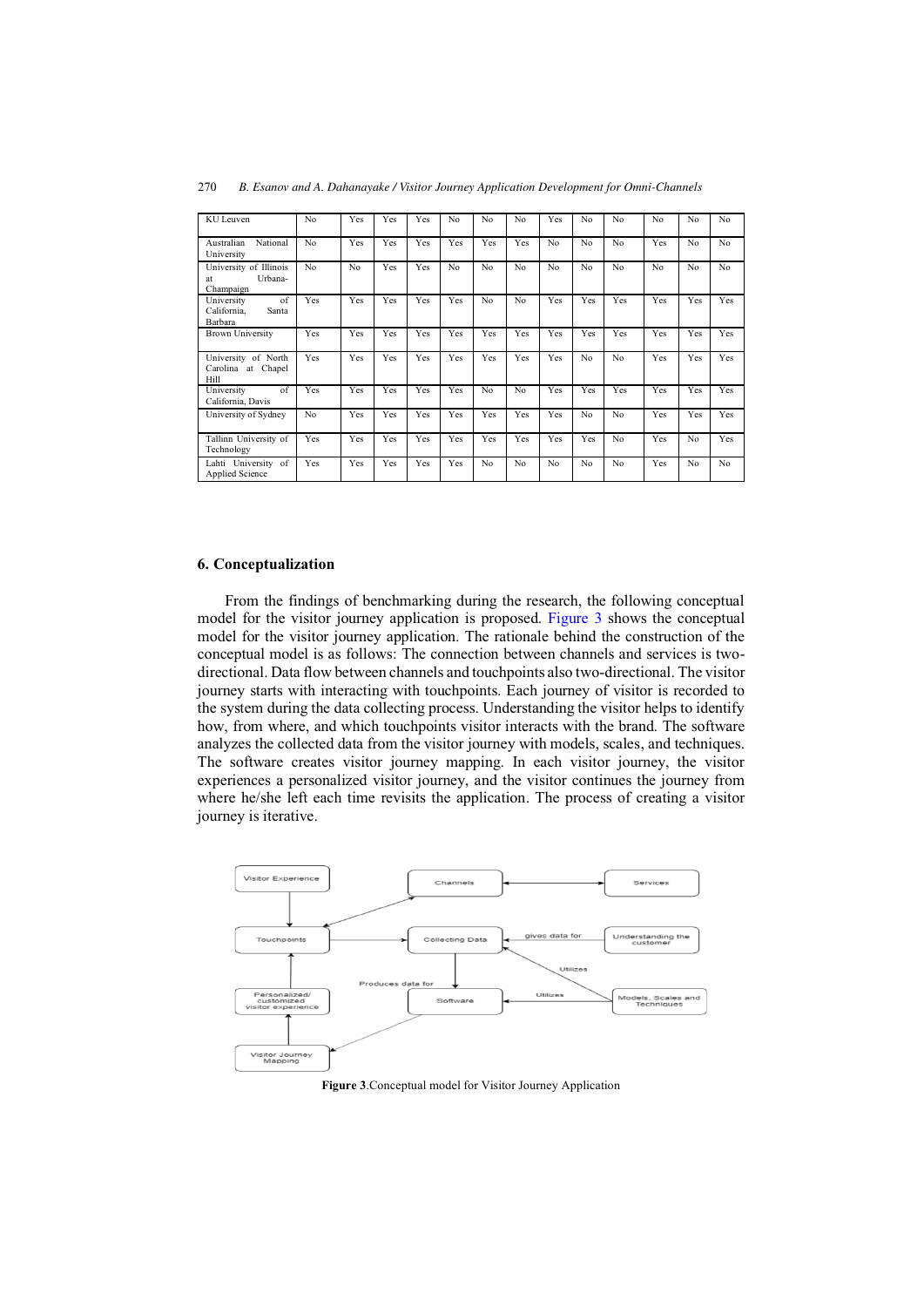| KU Leuven                                            | N <sub>o</sub> | Yes            | Yes | Yes | No  | N <sub>o</sub> | No  | Yes | No             | No  | N <sub>o</sub> | No  | No             |
|------------------------------------------------------|----------------|----------------|-----|-----|-----|----------------|-----|-----|----------------|-----|----------------|-----|----------------|
| National<br>Australian<br>University                 | N <sub>o</sub> | Yes            | Yes | Yes | Yes | Yes            | Yes | No  | N <sub>o</sub> | No  | Yes            | No  | N <sub>o</sub> |
| University of Illinois<br>Urbana-<br>at<br>Champaign | No             | N <sub>o</sub> | Yes | Yes | No  | No             | No  | No  | No             | No  | N <sub>o</sub> | No  | N <sub>o</sub> |
| of<br>University<br>California,<br>Santa<br>Barbara  | Yes            | Yes            | Yes | Yes | Yes | N <sub>o</sub> | No  | Yes | Yes            | Yes | Yes            | Yes | Yes            |
| <b>Brown University</b>                              | Yes            | Yes            | Yes | Yes | Yes | Yes            | Yes | Yes | Yes            | Yes | Yes            | Yes | Yes            |
| University of North<br>Carolina at Chapel<br>Hill    | Yes            | Yes            | Yes | Yes | Yes | Yes            | Yes | Yes | No             | No  | Yes            | Yes | Yes            |
| of<br>University<br>California, Davis                | Yes            | Yes            | Yes | Yes | Yes | N <sub>o</sub> | No  | Yes | Yes            | Yes | Yes            | Yes | Yes            |
| University of Sydney                                 | N <sub>o</sub> | Yes            | Yes | Yes | Yes | Yes            | Yes | Yes | No             | No  | Yes            | Yes | Yes            |
| Tallinn University of<br>Technology                  | Yes            | Yes            | Yes | Yes | Yes | Yes            | Yes | Yes | Yes            | No  | Yes            | No  | Yes            |
| Lahti University of<br><b>Applied Science</b>        | Yes            | Yes            | Yes | Yes | Yes | N <sub>o</sub> | No  | No  | No             | No  | Yes            | No  | N <sub>o</sub> |

#### **6. Conceptualization**

From the findings of benchmarking during the research, the following conceptual model for the visitor journey application is proposed. Figure 3 shows the conceptual model for the visitor journey application. The rationale behind the construction of the conceptual model is as follows: The connection between channels and services is twodirectional. Data flow between channels and touchpoints also two-directional. The visitor journey starts with interacting with touchpoints. Each journey of visitor is recorded to the system during the data collecting process. Understanding the visitor helps to identify how, from where, and which touchpoints visitor interacts with the brand. The software analyzes the collected data from the visitor journey with models, scales, and techniques. The software creates visitor journey mapping. In each visitor journey, the visitor experiences a personalized visitor journey, and the visitor continues the journey from where he/she left each time revisits the application. The process of creating a visitor journey is iterative.



**Figure 3**.Conceptual model for Visitor Journey Application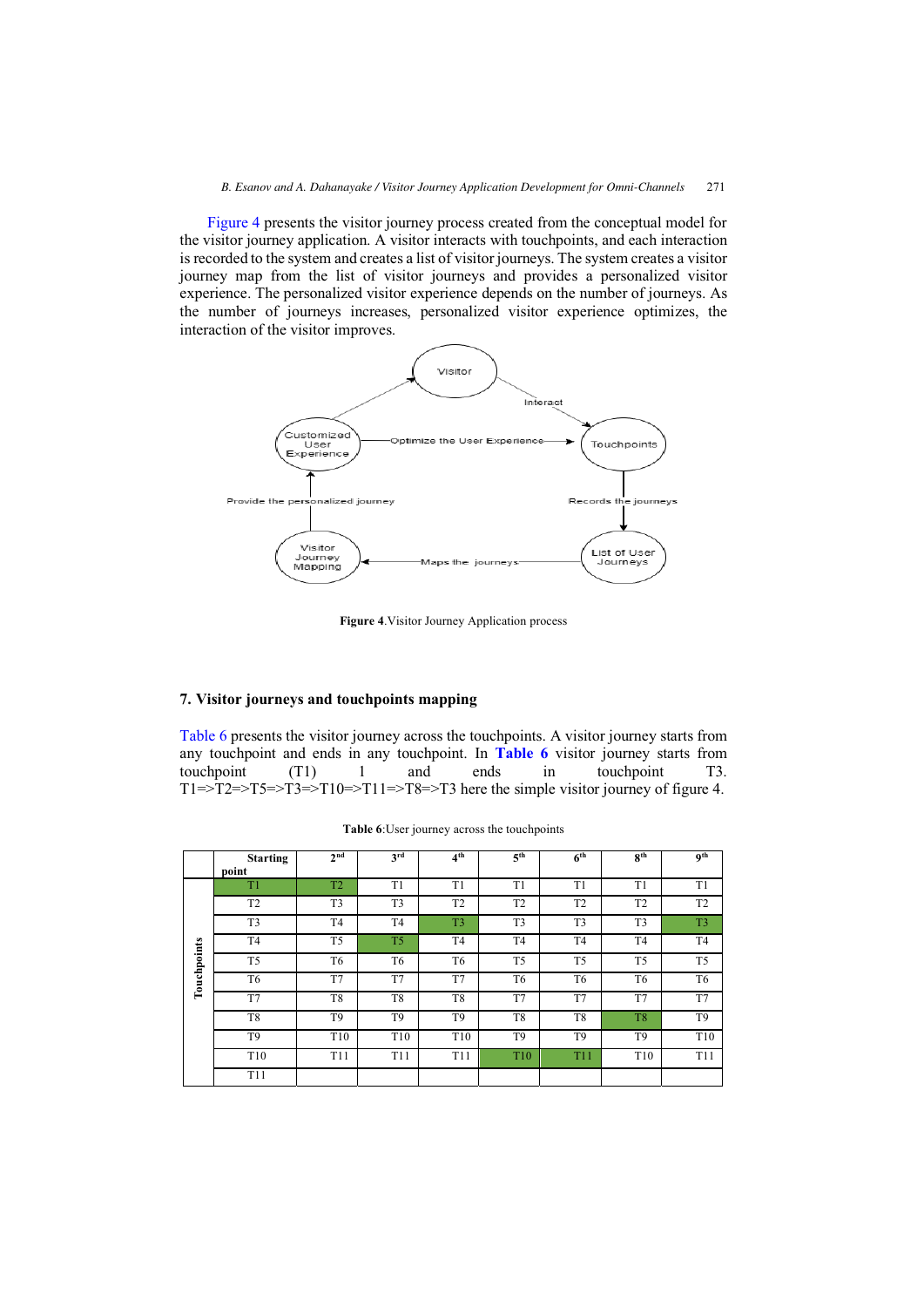Figure 4 presents the visitor journey process created from the conceptual model for the visitor journey application. A visitor interacts with touchpoints, and each interaction is recorded to the system and creates a list of visitor journeys. The system creates a visitor journey map from the list of visitor journeys and provides a personalized visitor experience. The personalized visitor experience depends on the number of journeys. As the number of journeys increases, personalized visitor experience optimizes, the interaction of the visitor improves.



**Figure 4**.Visitor Journey Application process

# **7. Visitor journeys and touchpoints mapping**

Table 6 presents the visitor journey across the touchpoints. A visitor journey starts from any touchpoint and ends in any touchpoint. In **Table 6** visitor journey starts from touchpoint (T1) 1 and ends in touchpoint T3.  $T1 = \frac{-T2}{-T5} = \frac{-T3}{-T10} = \frac{-T11}{-T8} = \frac{-T3}{-T3}$  here the simple visitor journey of figure 4.

|             | <b>Starting</b><br>point | 2 <sub>nd</sub> | 3rd            | 4 <sup>th</sup> | 5 <sup>th</sup> | 6 <sup>th</sup> | $R^{th}$       | <sup>oth</sup>  |
|-------------|--------------------------|-----------------|----------------|-----------------|-----------------|-----------------|----------------|-----------------|
|             | T1                       | T <sub>2</sub>  | T1             | T1              | T <sub>1</sub>  | T <sub>1</sub>  | T <sub>1</sub> | T <sub>1</sub>  |
|             | T <sub>2</sub>           | T <sub>3</sub>  | T <sub>3</sub> | T <sub>2</sub>  | T <sub>2</sub>  | T <sub>2</sub>  | T <sub>2</sub> | T <sub>2</sub>  |
|             | T <sub>3</sub>           | T <sub>4</sub>  | T <sub>4</sub> | T <sub>3</sub>  | T <sub>3</sub>  | T <sub>3</sub>  | T <sub>3</sub> | T <sub>3</sub>  |
|             | T4                       | T <sub>5</sub>  | T <sub>5</sub> | T <sub>4</sub>  | T <sub>4</sub>  | T <sub>4</sub>  | T <sub>4</sub> | T <sub>4</sub>  |
| Touchpoints | T <sub>5</sub>           | T6              | T6             | T <sub>6</sub>  | T <sub>5</sub>  | T <sub>5</sub>  | T <sub>5</sub> | T <sub>5</sub>  |
|             | T6                       | T7              | T7             | T7              | T <sub>6</sub>  | T <sub>6</sub>  | T6             | T <sub>6</sub>  |
|             | T7                       | T <sub>8</sub>  | T <sub>8</sub> | T8              | T7              | T7              | T7             | T7              |
|             | T8                       | T <sub>9</sub>  | T <sub>9</sub> | T <sub>9</sub>  | T <sub>8</sub>  | T <sub>8</sub>  | T <sub>8</sub> | T <sub>9</sub>  |
|             | T <sub>9</sub>           | T <sub>10</sub> | T10            | T10             | T <sub>9</sub>  | T <sub>9</sub>  | T <sub>9</sub> | T <sub>10</sub> |
|             | T <sub>10</sub>          | T11             | T11            | T11             | T <sub>10</sub> | <b>T11</b>      | T10            | T11             |
|             | T11                      |                 |                |                 |                 |                 |                |                 |

**Table 6**:User journey across the touchpoints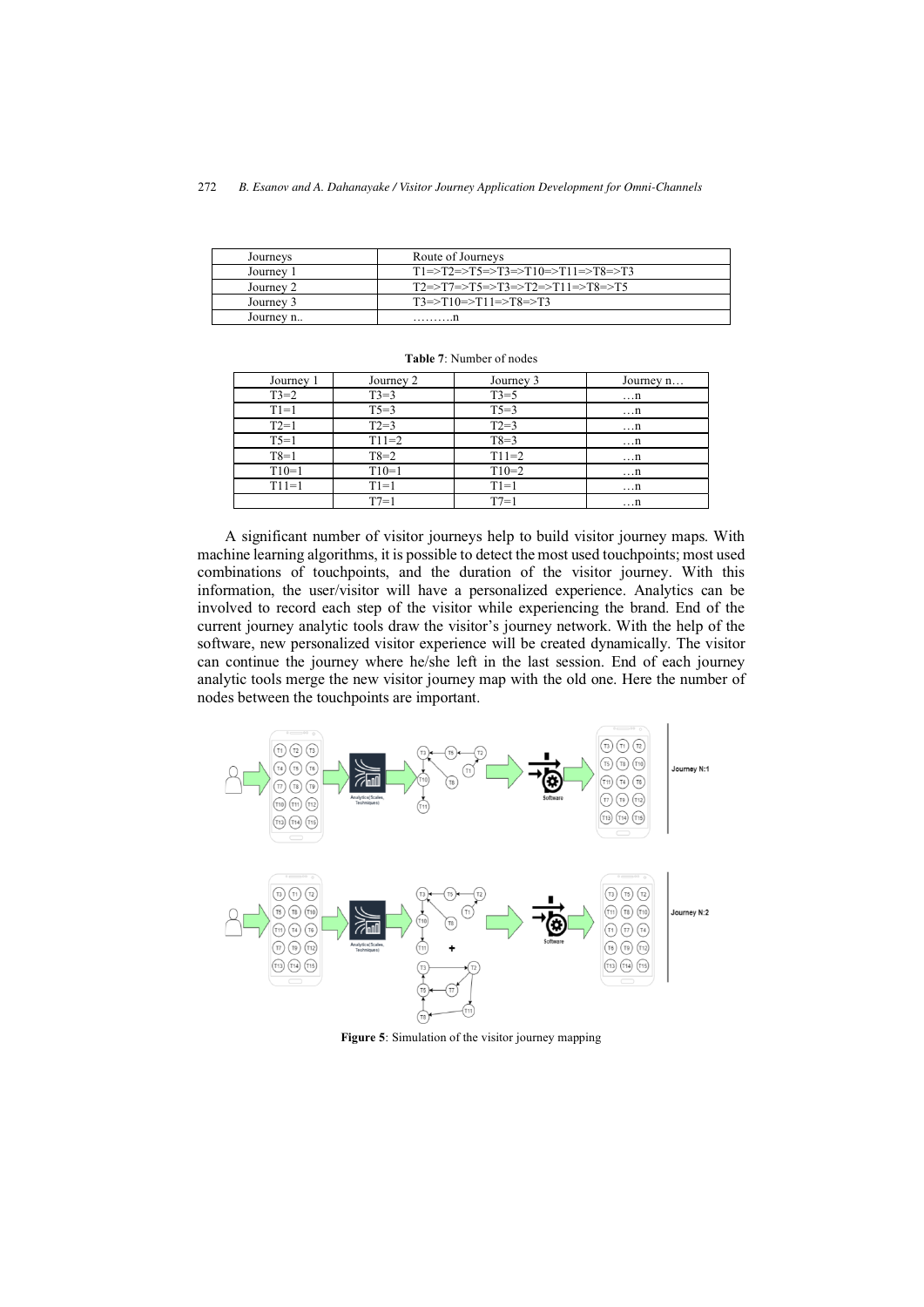<span id="page-15-0"></span>

| Journeys  | Route of Journeys                |
|-----------|----------------------------------|
| Journey   | T1=>T2=>T5=>T3=>T10=>T11=>T8=>T3 |
| Journey 2 | T2=>T7=>T5=>T3=>T2=>T11=>T8=>T5  |
| Journey 3 | $T3 = T10 = T11 = T8 = T3$       |
| Journey n | .1                               |

| Journey 1 | Journey 2 | Journey 3 | Journey n |
|-----------|-----------|-----------|-----------|
| $T3=2$    | $T3=3$    | $T3=5$    | $\dots n$ |
| $T1=1$    | $T5=3$    | $T5=3$    | $\dots n$ |
| $T2=1$    | $T2 = 3$  | $T2=3$    | $\dots n$ |
| $T5=1$    | $T11=2$   | $T8=3$    | $\dots n$ |
| $T8=1$    | $T8=2$    | $T11=2$   | $\dots n$ |
| $T10=1$   | $T10=1$   | $T10=2$   | $\dots n$ |
| $T11=1$   | $T1=1$    | $T1=1$    | $\dots n$ |
|           | $T7=1$    | $T7=1$    | $\dots n$ |

**Table 7**: Number of nodes

A significant number of visitor journeys help to build visitor journey maps. With machine learning algorithms, it is possible to detect the most used touchpoints; most used combinations of touchpoints, and the duration of the visitor journey. With this information, the user/visitor will have a personalized experience. Analytics can be involved to record each step of the visitor while experiencing the brand. End of the current journey analytic tools draw the visitor's journey network. With the help of the software, new personalized visitor experience will be created dynamically. The visitor can continue the journey where he/she left in the last session. End of each journey analytic tools merge the new visitor journey map with the old one. Here the number of nodes between the touchpoints are important.



**Figure 5**: Simulation of the visitor journey mapping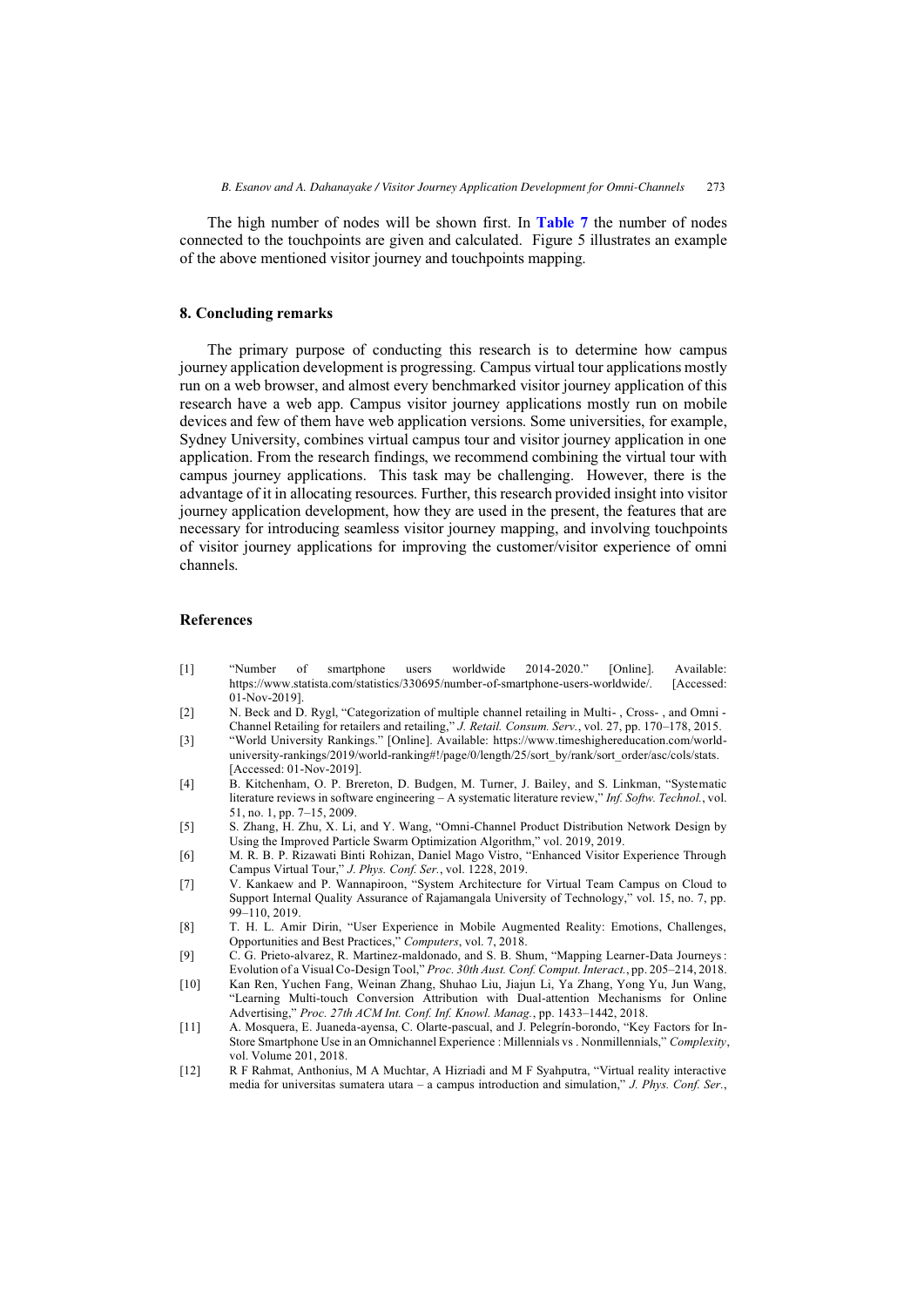The high number of nodes will be shown first. In **[Table 7](#page-15-0)** the number of nodes connected to the touchpoints are given and calculated. Figure 5 illustrates an example of the above mentioned visitor journey and touchpoints mapping.

## **8. Concluding remarks**

The primary purpose of conducting this research is to determine how campus journey application development is progressing. Campus virtual tour applications mostly run on a web browser, and almost every benchmarked visitor journey application of this research have a web app. Campus visitor journey applications mostly run on mobile devices and few of them have web application versions. Some universities, for example, Sydney University, combines virtual campus tour and visitor journey application in one application. From the research findings, we recommend combining the virtual tour with campus journey applications. This task may be challenging. However, there is the advantage of it in allocating resources. Further, this research provided insight into visitor journey application development, how they are used in the present, the features that are necessary for introducing seamless visitor journey mapping, and involving touchpoints of visitor journey applications for improving the customer/visitor experience of omni channels.

## **References**

- [1] "Number of smartphone users worldwide 2014-2020." [Online]. Available: https://www.statista.com/statistics/330695/number-of-smartphone-users-worldwide/. [Accessed: 01-Nov-2019].
- [2] N. Beck and D. Rygl, "Categorization of multiple channel retailing in Multi-, Cross-, and Omni -Channel Retailing for retailers and retailing," *J. Retail. Consum. Serv.*, vol. 27, pp. 170–178, 2015.
- [3] "World University Rankings." [Online]. Available: https://www.timeshighereducation.com/worlduniversity-rankings/2019/world-ranking#!/page/0/length/25/sort\_by/rank/sort\_order/asc/cols/stats. [Accessed: 01-Nov-2019].
- [4] B. Kitchenham, O. P. Brereton, D. Budgen, M. Turner, J. Bailey, and S. Linkman, "Systematic literature reviews in software engineering – A systematic literature review," *Inf. Softw. Technol.*, vol. 51, no. 1, pp. 7–15, 2009.
- [5] S. Zhang, H. Zhu, X. Li, and Y. Wang, "Omni-Channel Product Distribution Network Design by Using the Improved Particle Swarm Optimization Algorithm," vol. 2019, 2019.
- [6] M. R. B. P. Rizawati Binti Rohizan, Daniel Mago Vistro, "Enhanced Visitor Experience Through Campus Virtual Tour," *J. Phys. Conf. Ser.*, vol. 1228, 2019.
- [7] V. Kankaew and P. Wannapiroon, "System Architecture for Virtual Team Campus on Cloud to Support Internal Quality Assurance of Rajamangala University of Technology," vol. 15, no. 7, pp.  $99-110$ , 2019.
- [8] T. H. L. Amir Dirin, "User Experience in Mobile Augmented Reality: Emotions, Challenges, Opportunities and Best Practices," *Computers*, vol. 7, 2018.
- [9] C. G. Prieto-alvarez, R. Martinez-maldonado, and S. B. Shum, "Mapping Learner-Data Journeys : Evolution of a Visual Co-Design Tool," *Proc. 30th Aust. Conf. Comput. Interact.*, pp. 205–214, 2018.
- [10] Kan Ren, Yuchen Fang, Weinan Zhang, Shuhao Liu, Jiajun Li, Ya Zhang, Yong Yu, Jun Wang, "Learning Multi-touch Conversion Attribution with Dual-attention Mechanisms for Online Advertising," *Proc. 27th ACM Int. Conf. Inf. Knowl. Manag.*, pp. 1433–1442, 2018.
- [11] A. Mosquera, E. Juaneda-ayensa, C. Olarte-pascual, and J. Pelegrín-borondo, "Key Factors for In-Store Smartphone Use in an Omnichannel Experience : Millennials vs . Nonmillennials," *Complexity*, vol. Volume 201, 2018.
- [12] R F Rahmat, Anthonius, M A Muchtar, A Hizriadi and M F Syahputra, "Virtual reality interactive media for universitas sumatera utara – a campus introduction and simulation," *J. Phys. Conf. Ser.*,